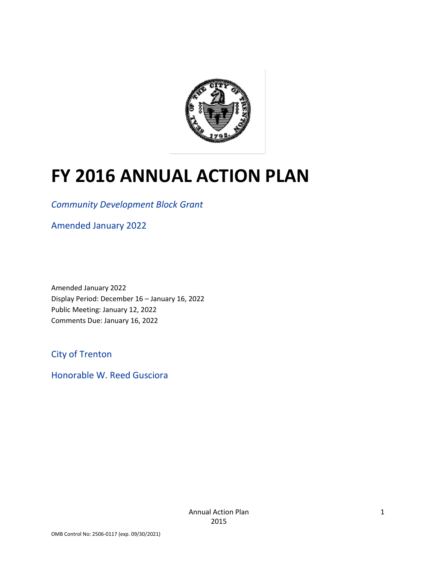

# **FY 2016 ANNUAL ACTION PLAN**

*Community Development Block Grant*

Amended January 2022

Amended January 2022 Display Period: December 16 – January 16, 2022 Public Meeting: January 12, 2022 Comments Due: January 16, 2022

City of Trenton

Honorable W. Reed Gusciora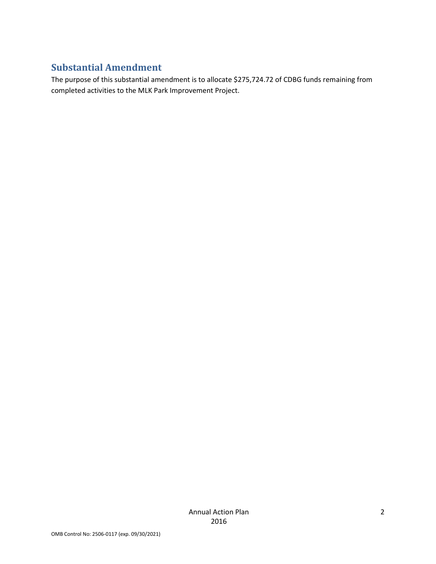# **Substantial Amendment**

The purpose of this substantial amendment is to allocate \$275,724.72 of CDBG funds remaining from completed activities to the MLK Park Improvement Project.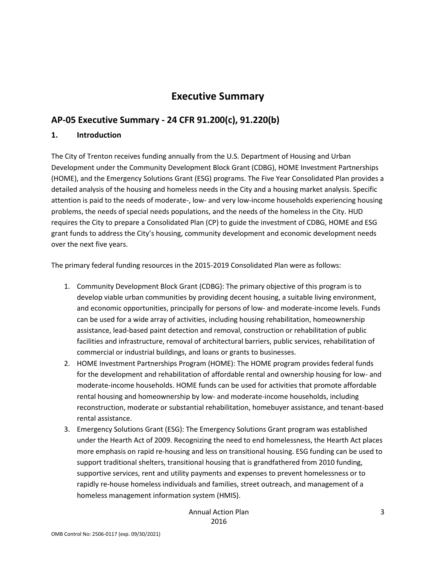# **Executive Summary**

## **AP-05 Executive Summary - 24 CFR 91.200(c), 91.220(b)**

#### **1. Introduction**

The City of Trenton receives funding annually from the U.S. Department of Housing and Urban Development under the Community Development Block Grant (CDBG), HOME Investment Partnerships (HOME), and the Emergency Solutions Grant (ESG) programs. The Five Year Consolidated Plan provides a detailed analysis of the housing and homeless needs in the City and a housing market analysis. Specific attention is paid to the needs of moderate-, low- and very low-income households experiencing housing problems, the needs of special needs populations, and the needs of the homeless in the City. HUD requires the City to prepare a Consolidated Plan (CP) to guide the investment of CDBG, HOME and ESG grant funds to address the City's housing, community development and economic development needs over the next five years.

The primary federal funding resources in the 2015-2019 Consolidated Plan were as follows:

- 1. Community Development Block Grant (CDBG): The primary objective of this program is to develop viable urban communities by providing decent housing, a suitable living environment, and economic opportunities, principally for persons of low- and moderate-income levels. Funds can be used for a wide array of activities, including housing rehabilitation, homeownership assistance, lead-based paint detection and removal, construction or rehabilitation of public facilities and infrastructure, removal of architectural barriers, public services, rehabilitation of commercial or industrial buildings, and loans or grants to businesses.
- 2. HOME Investment Partnerships Program (HOME): The HOME program provides federal funds for the development and rehabilitation of affordable rental and ownership housing for low- and moderate-income households. HOME funds can be used for activities that promote affordable rental housing and homeownership by low- and moderate-income households, including reconstruction, moderate or substantial rehabilitation, homebuyer assistance, and tenant-based rental assistance.
- 3. Emergency Solutions Grant (ESG): The Emergency Solutions Grant program was established under the Hearth Act of 2009. Recognizing the need to end homelessness, the Hearth Act places more emphasis on rapid re-housing and less on transitional housing. ESG funding can be used to support traditional shelters, transitional housing that is grandfathered from 2010 funding, supportive services, rent and utility payments and expenses to prevent homelessness or to rapidly re-house homeless individuals and families, street outreach, and management of a homeless management information system (HMIS).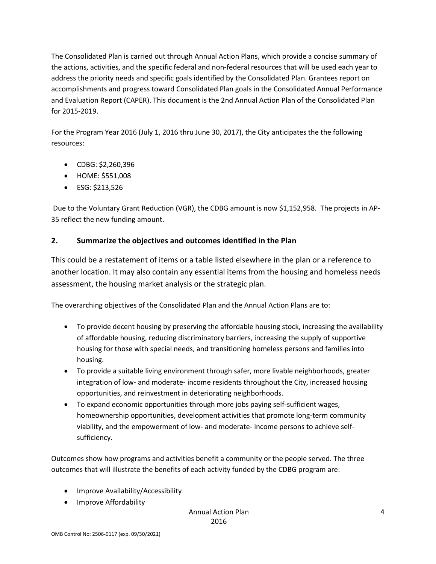The Consolidated Plan is carried out through Annual Action Plans, which provide a concise summary of the actions, activities, and the specific federal and non-federal resources that will be used each year to address the priority needs and specific goals identified by the Consolidated Plan. Grantees report on accomplishments and progress toward Consolidated Plan goals in the Consolidated Annual Performance and Evaluation Report (CAPER). This document is the 2nd Annual Action Plan of the Consolidated Plan for 2015-2019.

For the Program Year 2016 (July 1, 2016 thru June 30, 2017), the City anticipates the the following resources:

- CDBG: \$2,260,396
- HOME: \$551,008
- ESG: \$213,526

Due to the Voluntary Grant Reduction (VGR), the CDBG amount is now \$1,152,958. The projects in AP-35 reflect the new funding amount.

#### **2. Summarize the objectives and outcomes identified in the Plan**

This could be a restatement of items or a table listed elsewhere in the plan or a reference to another location. It may also contain any essential items from the housing and homeless needs assessment, the housing market analysis or the strategic plan.

The overarching objectives of the Consolidated Plan and the Annual Action Plans are to:

- To provide decent housing by preserving the affordable housing stock, increasing the availability of affordable housing, reducing discriminatory barriers, increasing the supply of supportive housing for those with special needs, and transitioning homeless persons and families into housing.
- To provide a suitable living environment through safer, more livable neighborhoods, greater integration of low- and moderate- income residents throughout the City, increased housing opportunities, and reinvestment in deteriorating neighborhoods.
- To expand economic opportunities through more jobs paying self-sufficient wages, homeownership opportunities, development activities that promote long-term community viability, and the empowerment of low- and moderate- income persons to achieve selfsufficiency.

Outcomes show how programs and activities benefit a community or the people served. The three outcomes that will illustrate the benefits of each activity funded by the CDBG program are:

- Improve Availability/Accessibility
- Improve Affordability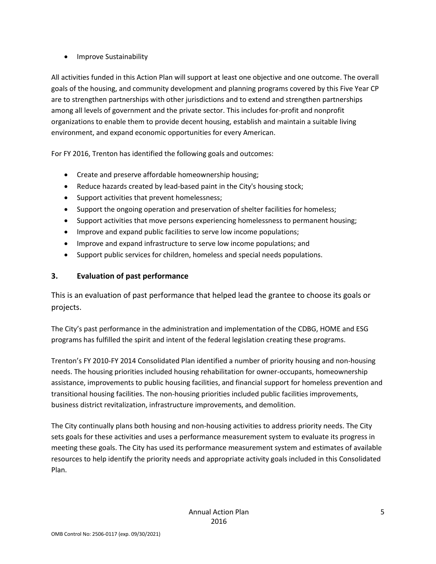#### • Improve Sustainability

All activities funded in this Action Plan will support at least one objective and one outcome. The overall goals of the housing, and community development and planning programs covered by this Five Year CP are to strengthen partnerships with other jurisdictions and to extend and strengthen partnerships among all levels of government and the private sector. This includes for-profit and nonprofit organizations to enable them to provide decent housing, establish and maintain a suitable living environment, and expand economic opportunities for every American.

For FY 2016, Trenton has identified the following goals and outcomes:

- Create and preserve affordable homeownership housing;
- Reduce hazards created by lead-based paint in the City's housing stock;
- Support activities that prevent homelessness;
- Support the ongoing operation and preservation of shelter facilities for homeless;
- Support activities that move persons experiencing homelessness to permanent housing;
- Improve and expand public facilities to serve low income populations;
- Improve and expand infrastructure to serve low income populations; and
- Support public services for children, homeless and special needs populations.

#### **3. Evaluation of past performance**

This is an evaluation of past performance that helped lead the grantee to choose its goals or projects.

The City's past performance in the administration and implementation of the CDBG, HOME and ESG programs has fulfilled the spirit and intent of the federal legislation creating these programs.

Trenton's FY 2010-FY 2014 Consolidated Plan identified a number of priority housing and non-housing needs. The housing priorities included housing rehabilitation for owner-occupants, homeownership assistance, improvements to public housing facilities, and financial support for homeless prevention and transitional housing facilities. The non-housing priorities included public facilities improvements, business district revitalization, infrastructure improvements, and demolition.

The City continually plans both housing and non-housing activities to address priority needs. The City sets goals for these activities and uses a performance measurement system to evaluate its progress in meeting these goals. The City has used its performance measurement system and estimates of available resources to help identify the priority needs and appropriate activity goals included in this Consolidated Plan.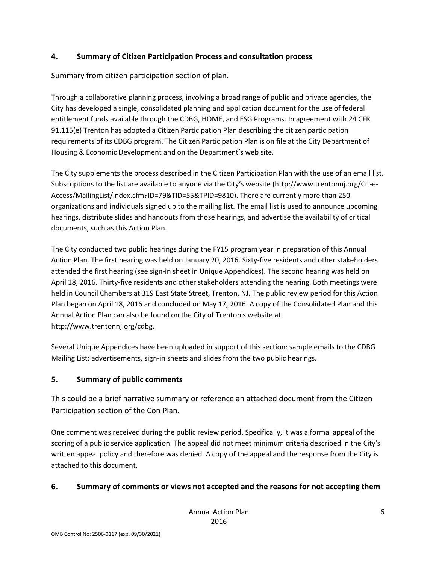#### **4. Summary of Citizen Participation Process and consultation process**

Summary from citizen participation section of plan.

Through a collaborative planning process, involving a broad range of public and private agencies, the City has developed a single, consolidated planning and application document for the use of federal entitlement funds available through the CDBG, HOME, and ESG Programs. In agreement with 24 CFR 91.115(e) Trenton has adopted a Citizen Participation Plan describing the citizen participation requirements of its CDBG program. The Citizen Participation Plan is on file at the City Department of Housing & Economic Development and on the Department's web site.

The City supplements the process described in the Citizen Participation Plan with the use of an email list. Subscriptions to the list are available to anyone via the City's website (http://www.trentonnj.org/Cit-e-Access/MailingList/index.cfm?ID=79&TID=55&TPID=9810). There are currently more than 250 organizations and individuals signed up to the mailing list. The email list is used to announce upcoming hearings, distribute slides and handouts from those hearings, and advertise the availability of critical documents, such as this Action Plan.

The City conducted two public hearings during the FY15 program year in preparation of this Annual Action Plan. The first hearing was held on January 20, 2016. Sixty-five residents and other stakeholders attended the first hearing (see sign-in sheet in Unique Appendices). The second hearing was held on April 18, 2016. Thirty-five residents and other stakeholders attending the hearing. Both meetings were held in Council Chambers at 319 East State Street, Trenton, NJ. The public review period for this Action Plan began on April 18, 2016 and concluded on May 17, 2016. A copy of the Consolidated Plan and this Annual Action Plan can also be found on the City of Trenton's website at http://www.trentonnj.org/cdbg.

Several Unique Appendices have been uploaded in support of this section: sample emails to the CDBG Mailing List; advertisements, sign-in sheets and slides from the two public hearings.

#### **5. Summary of public comments**

This could be a brief narrative summary or reference an attached document from the Citizen Participation section of the Con Plan.

One comment was received during the public review period. Specifically, it was a formal appeal of the scoring of a public service application. The appeal did not meet minimum criteria described in the City's written appeal policy and therefore was denied. A copy of the appeal and the response from the City is attached to this document.

#### **6. Summary of comments or views not accepted and the reasons for not accepting them**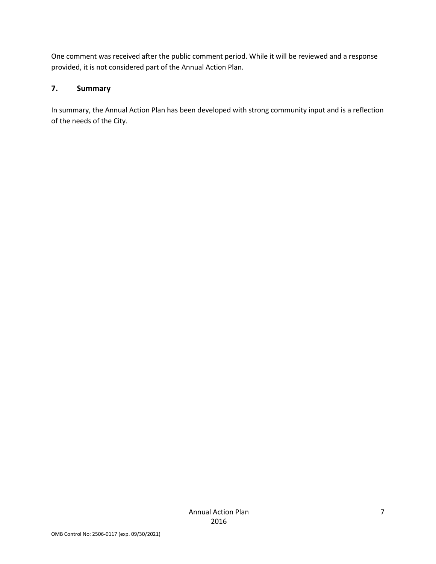One comment was received after the public comment period. While it will be reviewed and a response provided, it is not considered part of the Annual Action Plan.

#### **7. Summary**

In summary, the Annual Action Plan has been developed with strong community input and is a reflection of the needs of the City.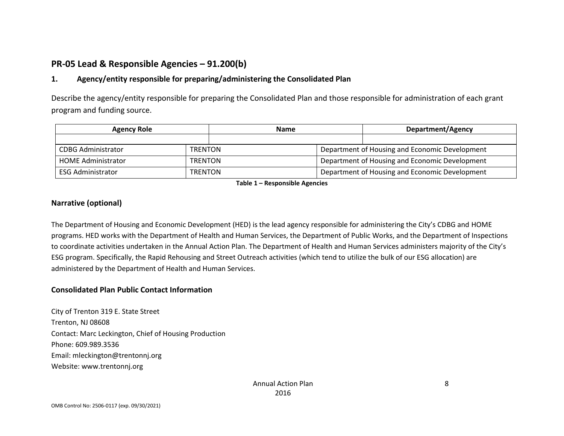# **PR-05 Lead & Responsible Agencies – 91.200(b)**

#### **1. Agency/entity responsible for preparing/administering the Consolidated Plan**

Describe the agency/entity responsible for preparing the Consolidated Plan and those responsible for administration of each grant program and funding source.

| <b>Agency Role</b>        | <b>Name</b>    |  | <b>Department/Agency</b>                       |                                                |  |
|---------------------------|----------------|--|------------------------------------------------|------------------------------------------------|--|
|                           |                |  |                                                |                                                |  |
| <b>CDBG Administrator</b> | <b>TRENTON</b> |  | Department of Housing and Economic Development |                                                |  |
| <b>HOME Administrator</b> | <b>TRENTON</b> |  | Department of Housing and Economic Development |                                                |  |
| <b>ESG Administrator</b>  | <b>TRENTON</b> |  |                                                | Department of Housing and Economic Development |  |

**Table 1 – Responsible Agencies**

#### **Narrative (optional)**

The Department of Housing and Economic Development (HED) is the lead agency responsible for administering the City's CDBG and HOME programs. HED works with the Department of Health and Human Services, the Department of Public Works, and the Department of Inspections to coordinate activities undertaken in the Annual Action Plan. The Department of Health and Human Services administers majority of the City's ESG program. Specifically, the Rapid Rehousing and Street Outreach activities (which tend to utilize the bulk of our ESG allocation) are administered by the Department of Health and Human Services.

#### **Consolidated Plan Public Contact Information**

City of Trenton 319 E. State Street Trenton, NJ 08608 Contact: Marc Leckington, Chief of Housing Production Phone: 609.989.3536 Email: mleckington@trentonnj.org Website: www.trentonnj.org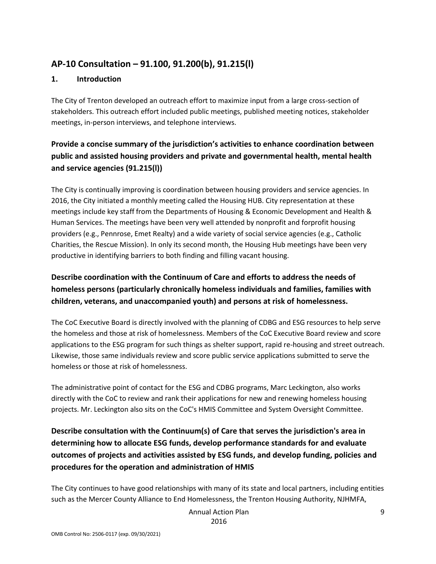# **AP-10 Consultation – 91.100, 91.200(b), 91.215(l)**

#### **1. Introduction**

The City of Trenton developed an outreach effort to maximize input from a large cross-section of stakeholders. This outreach effort included public meetings, published meeting notices, stakeholder meetings, in-person interviews, and telephone interviews.

# **Provide a concise summary of the jurisdiction's activities to enhance coordination between public and assisted housing providers and private and governmental health, mental health and service agencies (91.215(l))**

The City is continually improving is coordination between housing providers and service agencies. In 2016, the City initiated a monthly meeting called the Housing HUB. City representation at these meetings include key staff from the Departments of Housing & Economic Development and Health & Human Services. The meetings have been very well attended by nonprofit and forprofit housing providers (e.g., Pennrose, Emet Realty) and a wide variety of social service agencies (e.g., Catholic Charities, the Rescue Mission). In only its second month, the Housing Hub meetings have been very productive in identifying barriers to both finding and filling vacant housing.

# **Describe coordination with the Continuum of Care and efforts to address the needs of homeless persons (particularly chronically homeless individuals and families, families with children, veterans, and unaccompanied youth) and persons at risk of homelessness.**

The CoC Executive Board is directly involved with the planning of CDBG and ESG resources to help serve the homeless and those at risk of homelessness. Members of the CoC Executive Board review and score applications to the ESG program for such things as shelter support, rapid re-housing and street outreach. Likewise, those same individuals review and score public service applications submitted to serve the homeless or those at risk of homelessness.

The administrative point of contact for the ESG and CDBG programs, Marc Leckington, also works directly with the CoC to review and rank their applications for new and renewing homeless housing projects. Mr. Leckington also sits on the CoC's HMIS Committee and System Oversight Committee.

# **Describe consultation with the Continuum(s) of Care that serves the jurisdiction's area in determining how to allocate ESG funds, develop performance standards for and evaluate outcomes of projects and activities assisted by ESG funds, and develop funding, policies and procedures for the operation and administration of HMIS**

The City continues to have good relationships with many of its state and local partners, including entities such as the Mercer County Alliance to End Homelessness, the Trenton Housing Authority, NJHMFA,

Annual Action Plan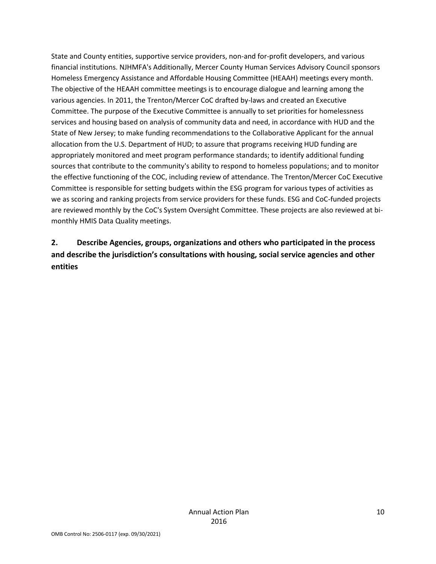State and County entities, supportive service providers, non-and for-profit developers, and various financial institutions. NJHMFA's Additionally, Mercer County Human Services Advisory Council sponsors Homeless Emergency Assistance and Affordable Housing Committee (HEAAH) meetings every month. The objective of the HEAAH committee meetings is to encourage dialogue and learning among the various agencies. In 2011, the Trenton/Mercer CoC drafted by-laws and created an Executive Committee. The purpose of the Executive Committee is annually to set priorities for homelessness services and housing based on analysis of community data and need, in accordance with HUD and the State of New Jersey; to make funding recommendations to the Collaborative Applicant for the annual allocation from the U.S. Department of HUD; to assure that programs receiving HUD funding are appropriately monitored and meet program performance standards; to identify additional funding sources that contribute to the community's ability to respond to homeless populations; and to monitor the effective functioning of the COC, including review of attendance. The Trenton/Mercer CoC Executive Committee is responsible for setting budgets within the ESG program for various types of activities as we as scoring and ranking projects from service providers for these funds. ESG and CoC-funded projects are reviewed monthly by the CoC's System Oversight Committee. These projects are also reviewed at bimonthly HMIS Data Quality meetings.

# **2. Describe Agencies, groups, organizations and others who participated in the process and describe the jurisdiction's consultations with housing, social service agencies and other entities**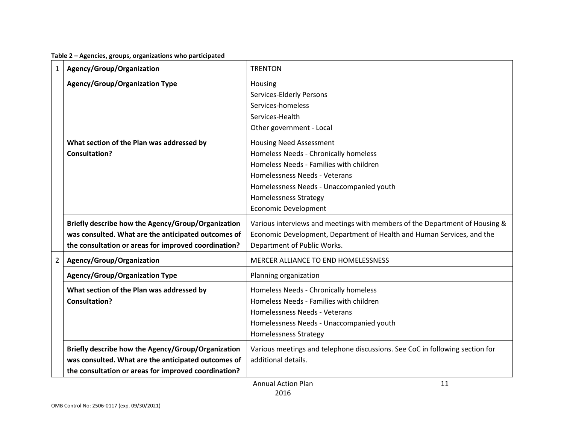| Table 2 - Agencies, groups, organizations who participated |  |  |
|------------------------------------------------------------|--|--|
|------------------------------------------------------------|--|--|

| $\mathbf{1}$   | Agency/Group/Organization                                                                                                                                         | <b>TRENTON</b>                                                                                                                                                                                                                                                 |
|----------------|-------------------------------------------------------------------------------------------------------------------------------------------------------------------|----------------------------------------------------------------------------------------------------------------------------------------------------------------------------------------------------------------------------------------------------------------|
|                | <b>Agency/Group/Organization Type</b>                                                                                                                             | Housing<br>Services-Elderly Persons<br>Services-homeless<br>Services-Health<br>Other government - Local                                                                                                                                                        |
|                | What section of the Plan was addressed by<br><b>Consultation?</b>                                                                                                 | <b>Housing Need Assessment</b><br>Homeless Needs - Chronically homeless<br>Homeless Needs - Families with children<br>Homelessness Needs - Veterans<br>Homelessness Needs - Unaccompanied youth<br><b>Homelessness Strategy</b><br><b>Economic Development</b> |
|                | Briefly describe how the Agency/Group/Organization<br>was consulted. What are the anticipated outcomes of<br>the consultation or areas for improved coordination? | Various interviews and meetings with members of the Department of Housing &<br>Economic Development, Department of Health and Human Services, and the<br>Department of Public Works.                                                                           |
| $\overline{2}$ | Agency/Group/Organization                                                                                                                                         | MERCER ALLIANCE TO END HOMELESSNESS                                                                                                                                                                                                                            |
|                | <b>Agency/Group/Organization Type</b>                                                                                                                             | Planning organization                                                                                                                                                                                                                                          |
|                | What section of the Plan was addressed by<br>Consultation?                                                                                                        | Homeless Needs - Chronically homeless<br>Homeless Needs - Families with children<br>Homelessness Needs - Veterans<br>Homelessness Needs - Unaccompanied youth<br><b>Homelessness Strategy</b>                                                                  |
|                | Briefly describe how the Agency/Group/Organization<br>was consulted. What are the anticipated outcomes of<br>the consultation or areas for improved coordination? | Various meetings and telephone discussions. See CoC in following section for<br>additional details.<br><b>Annual Action Plan</b><br>11                                                                                                                         |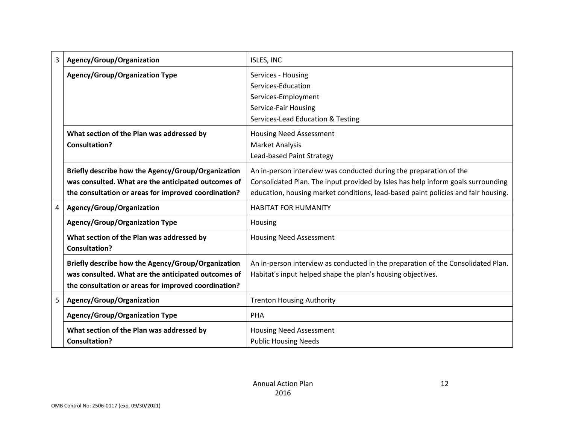| 3 | Agency/Group/Organization                                                                                                                                         | ISLES, INC                                                                                                                                                                                                                                  |
|---|-------------------------------------------------------------------------------------------------------------------------------------------------------------------|---------------------------------------------------------------------------------------------------------------------------------------------------------------------------------------------------------------------------------------------|
|   | <b>Agency/Group/Organization Type</b>                                                                                                                             | Services - Housing<br>Services-Education<br>Services-Employment<br>Service-Fair Housing<br>Services-Lead Education & Testing                                                                                                                |
|   | What section of the Plan was addressed by<br>Consultation?                                                                                                        | <b>Housing Need Assessment</b><br><b>Market Analysis</b><br>Lead-based Paint Strategy                                                                                                                                                       |
|   | Briefly describe how the Agency/Group/Organization<br>was consulted. What are the anticipated outcomes of<br>the consultation or areas for improved coordination? | An in-person interview was conducted during the preparation of the<br>Consolidated Plan. The input provided by Isles has help inform goals surrounding<br>education, housing market conditions, lead-based paint policies and fair housing. |
| 4 | Agency/Group/Organization                                                                                                                                         | <b>HABITAT FOR HUMANITY</b>                                                                                                                                                                                                                 |
|   | <b>Agency/Group/Organization Type</b>                                                                                                                             | Housing                                                                                                                                                                                                                                     |
|   | What section of the Plan was addressed by<br><b>Consultation?</b>                                                                                                 | <b>Housing Need Assessment</b>                                                                                                                                                                                                              |
|   | Briefly describe how the Agency/Group/Organization<br>was consulted. What are the anticipated outcomes of<br>the consultation or areas for improved coordination? | An in-person interview as conducted in the preparation of the Consolidated Plan.<br>Habitat's input helped shape the plan's housing objectives.                                                                                             |
| 5 | Agency/Group/Organization                                                                                                                                         | <b>Trenton Housing Authority</b>                                                                                                                                                                                                            |
|   | <b>Agency/Group/Organization Type</b>                                                                                                                             | PHA                                                                                                                                                                                                                                         |
|   | What section of the Plan was addressed by<br><b>Consultation?</b>                                                                                                 | <b>Housing Need Assessment</b><br><b>Public Housing Needs</b>                                                                                                                                                                               |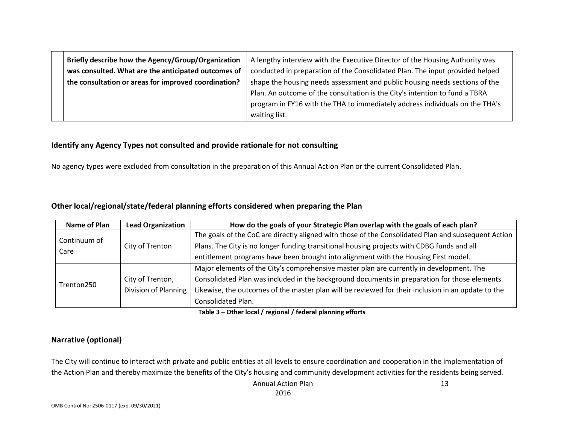| Briefly describe how the Agency/Group/Organization<br>was consulted. What are the anticipated outcomes of | A lengthy interview with the Executive Director of the Housing Authority was<br>conducted in preparation of the Consolidated Plan. The input provided helped |  |  |  |
|-----------------------------------------------------------------------------------------------------------|--------------------------------------------------------------------------------------------------------------------------------------------------------------|--|--|--|
| the consultation or areas for improved coordination?                                                      | shape the housing needs assessment and public housing needs sections of the                                                                                  |  |  |  |
|                                                                                                           | Plan. An outcome of the consultation is the City's intention to fund a TBRA                                                                                  |  |  |  |
|                                                                                                           | program in FY16 with the THA to immediately address individuals on the THA's                                                                                 |  |  |  |
|                                                                                                           | waiting list.                                                                                                                                                |  |  |  |

#### **Identify any Agency Types not consulted and provide rationale for not consulting**

No agency types were excluded from consultation in the preparation of this Annual Action Plan or the current Consolidated Plan.

#### **Other local/regional/state/federal planning efforts considered when preparing the Plan**

| Name of Plan | <b>Lead Organization</b> | How do the goals of your Strategic Plan overlap with the goals of each plan?                        |  |  |  |
|--------------|--------------------------|-----------------------------------------------------------------------------------------------------|--|--|--|
|              |                          | The goals of the CoC are directly aligned with those of the Consolidated Plan and subsequent Action |  |  |  |
| Continuum of | City of Trenton          | Plans. The City is no longer funding transitional housing projects with CDBG funds and all          |  |  |  |
| Care         |                          | entitlement programs have been brought into alignment with the Housing First model.                 |  |  |  |
|              |                          | Major elements of the City's comprehensive master plan are currently in development. The            |  |  |  |
|              | City of Trenton,         | Consolidated Plan was included in the background documents in preparation for those elements.       |  |  |  |
| Trenton250   | Division of Planning     | Likewise, the outcomes of the master plan will be reviewed for their inclusion in an update to the  |  |  |  |
|              |                          | Consolidated Plan.                                                                                  |  |  |  |

**Table 3 – Other local / regional / federal planning efforts**

#### **Narrative (optional)**

The City will continue to interact with private and public entities at all levels to ensure coordination and cooperation in the implementation of the Action Plan and thereby maximize the benefits of the City's housing and community development activities for the residents being served.

> Annual Action Plan 2016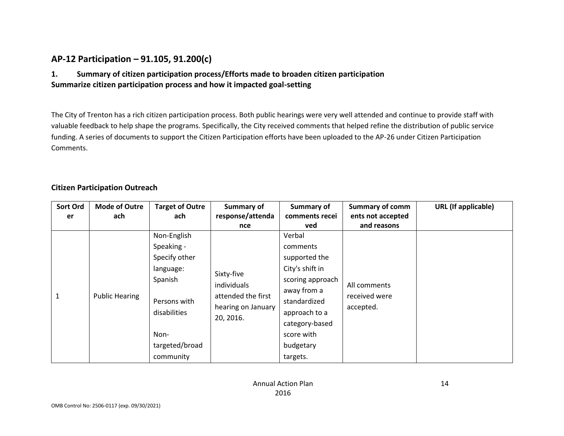### **AP-12 Participation – 91.105, 91.200(c)**

#### **1. Summary of citizen participation process/Efforts made to broaden citizen participation Summarize citizen participation process and how it impacted goal-setting**

The City of Trenton has a rich citizen participation process. Both public hearings were very well attended and continue to provide staff with valuable feedback to help shape the programs. Specifically, the City received comments that helped refine the distribution of public service funding. A series of documents to support the Citizen Participation efforts have been uploaded to the AP-26 under Citizen Participation Comments.

#### **Citizen Participation Outreach**

| Sort Ord<br>er | <b>Mode of Outre</b><br>ach | <b>Target of Outre</b><br>ach                                                                                                             | Summary of<br>response/attenda                                                     | Summary of<br>comments recei                                                                                                                                                        | <b>Summary of comm</b><br>ents not accepted | <b>URL</b> (If applicable) |
|----------------|-----------------------------|-------------------------------------------------------------------------------------------------------------------------------------------|------------------------------------------------------------------------------------|-------------------------------------------------------------------------------------------------------------------------------------------------------------------------------------|---------------------------------------------|----------------------------|
|                |                             |                                                                                                                                           | nce                                                                                | ved                                                                                                                                                                                 | and reasons                                 |                            |
| 1              | <b>Public Hearing</b>       | Non-English<br>Speaking -<br>Specify other<br>language:<br>Spanish<br>Persons with<br>disabilities<br>Non-<br>targeted/broad<br>community | Sixty-five<br>individuals<br>attended the first<br>hearing on January<br>20, 2016. | Verbal<br>comments<br>supported the<br>City's shift in<br>scoring approach<br>away from a<br>standardized<br>approach to a<br>category-based<br>score with<br>budgetary<br>targets. | All comments<br>received were<br>accepted.  |                            |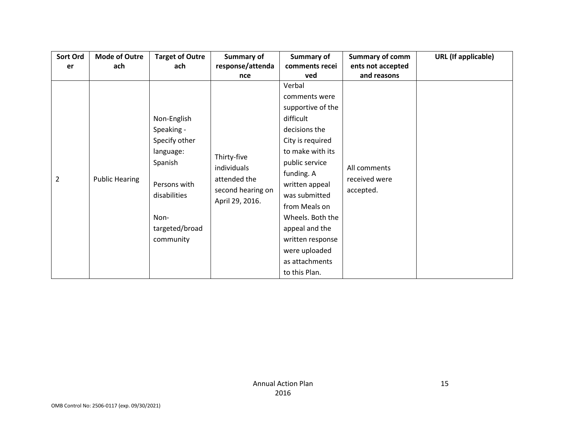| <b>Mode of Outre</b>  | <b>Target of Outre</b>                                                                                                                    | Summary of                                                                         | Summary of                                                                                                                                                                                                                                                                                          | <b>Summary of comm</b>                     | <b>URL</b> (If applicable) |
|-----------------------|-------------------------------------------------------------------------------------------------------------------------------------------|------------------------------------------------------------------------------------|-----------------------------------------------------------------------------------------------------------------------------------------------------------------------------------------------------------------------------------------------------------------------------------------------------|--------------------------------------------|----------------------------|
| ach                   | ach                                                                                                                                       | response/attenda                                                                   | comments recei                                                                                                                                                                                                                                                                                      | ents not accepted                          |                            |
|                       |                                                                                                                                           | nce                                                                                | ved                                                                                                                                                                                                                                                                                                 | and reasons                                |                            |
| <b>Public Hearing</b> | Non-English<br>Speaking -<br>Specify other<br>language:<br>Spanish<br>Persons with<br>disabilities<br>Non-<br>targeted/broad<br>community | Thirty-five<br>individuals<br>attended the<br>second hearing on<br>April 29, 2016. | Verbal<br>comments were<br>supportive of the<br>difficult<br>decisions the<br>City is required<br>to make with its<br>public service<br>funding. A<br>written appeal<br>was submitted<br>from Meals on<br>Wheels. Both the<br>appeal and the<br>written response<br>were uploaded<br>as attachments | All comments<br>received were<br>accepted. |                            |
|                       |                                                                                                                                           |                                                                                    |                                                                                                                                                                                                                                                                                                     | to this Plan.                              |                            |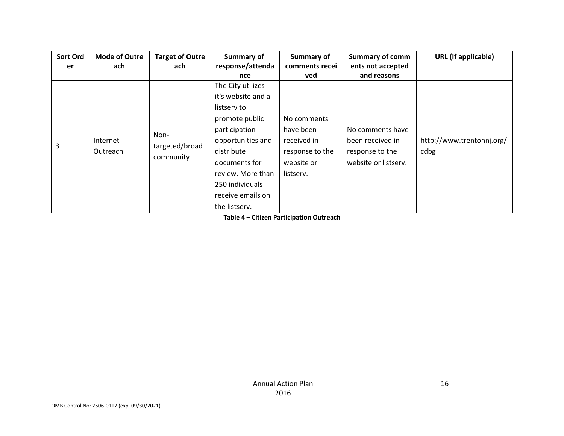| Sort Ord | <b>Mode of Outre</b> | <b>Target of Outre</b> | Summary of         | Summary of      | <b>Summary of comm</b> | <b>URL</b> (If applicable) |
|----------|----------------------|------------------------|--------------------|-----------------|------------------------|----------------------------|
| er       | ach                  | ach                    | response/attenda   | comments recei  | ents not accepted      |                            |
|          |                      |                        | nce                | ved             | and reasons            |                            |
|          |                      |                        | The City utilizes  |                 |                        |                            |
|          |                      |                        | it's website and a |                 |                        |                            |
|          |                      |                        | listserv to        |                 |                        |                            |
|          |                      |                        | promote public     | No comments     |                        |                            |
|          |                      | Non-                   | participation      | have been       | No comments have       |                            |
| 3        | Internet             | targeted/broad         | opportunities and  | received in     | been received in       | http://www.trentonnj.org/  |
|          | Outreach             | community              | distribute         | response to the | response to the        | cdbg                       |
|          |                      |                        | documents for      | website or      | website or listserv.   |                            |
|          |                      |                        | review. More than  | listserv.       |                        |                            |
|          |                      |                        | 250 individuals    |                 |                        |                            |
|          |                      |                        | receive emails on  |                 |                        |                            |
|          |                      |                        | the listserv.      |                 |                        |                            |

**Table 4 – Citizen Participation Outreach**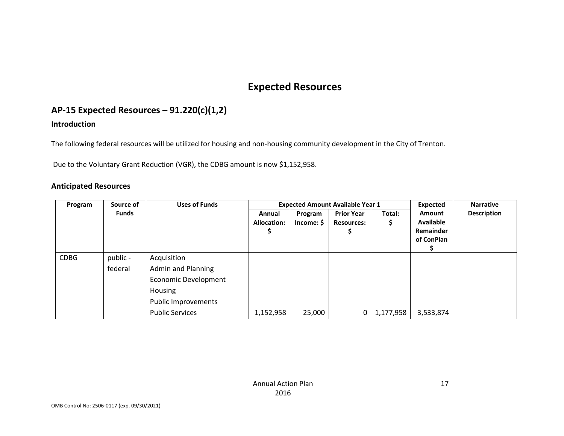# **Expected Resources**

# **AP-15 Expected Resources – 91.220(c)(1,2)**

#### **Introduction**

The following federal resources will be utilized for housing and non-housing community development in the City of Trenton.

Due to the Voluntary Grant Reduction (VGR), the CDBG amount is now \$1,152,958.

#### **Anticipated Resources**

| Program     | Source of    | <b>Uses of Funds</b>        |                    |         | <b>Expected Amount Available Year 1</b> | Expected  | <b>Narrative</b>                     |                    |
|-------------|--------------|-----------------------------|--------------------|---------|-----------------------------------------|-----------|--------------------------------------|--------------------|
|             | <b>Funds</b> |                             | Annual             | Program | <b>Prior Year</b>                       | Total:    | <b>Amount</b>                        | <b>Description</b> |
|             |              |                             | <b>Allocation:</b> | Income: | <b>Resources:</b>                       | \$        | <b>Available</b><br><b>Remainder</b> |                    |
|             |              |                             |                    |         |                                         |           | of ConPlan                           |                    |
|             |              |                             |                    |         |                                         |           |                                      |                    |
| <b>CDBG</b> | public -     | Acquisition                 |                    |         |                                         |           |                                      |                    |
|             | federal      | <b>Admin and Planning</b>   |                    |         |                                         |           |                                      |                    |
|             |              | <b>Economic Development</b> |                    |         |                                         |           |                                      |                    |
|             |              | Housing                     |                    |         |                                         |           |                                      |                    |
|             |              | Public Improvements         |                    |         |                                         |           |                                      |                    |
|             |              | <b>Public Services</b>      | 1,152,958          | 25,000  | 0                                       | 1,177,958 | 3,533,874                            |                    |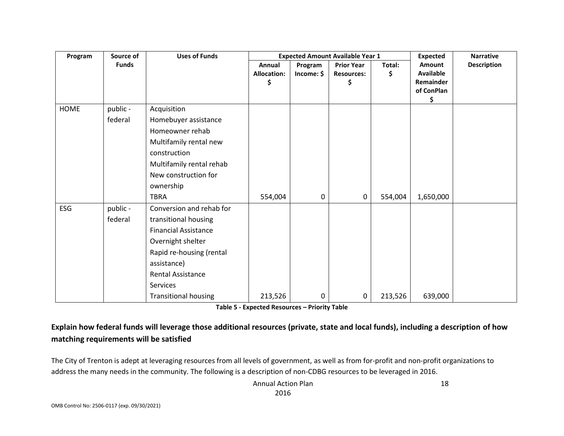| Program | Source of    | <b>Uses of Funds</b>        |                                    | <b>Expected Amount Available Year 1</b> | <b>Expected</b><br><b>Narrative</b>          |              |                                                             |                    |
|---------|--------------|-----------------------------|------------------------------------|-----------------------------------------|----------------------------------------------|--------------|-------------------------------------------------------------|--------------------|
|         | <b>Funds</b> |                             | Annual<br><b>Allocation:</b><br>\$ | Program<br>Income: \$                   | <b>Prior Year</b><br><b>Resources:</b><br>\$ | Total:<br>\$ | Amount<br><b>Available</b><br>Remainder<br>of ConPlan<br>\$ | <b>Description</b> |
| HOME    | public -     | Acquisition                 |                                    |                                         |                                              |              |                                                             |                    |
|         | federal      | Homebuyer assistance        |                                    |                                         |                                              |              |                                                             |                    |
|         |              | Homeowner rehab             |                                    |                                         |                                              |              |                                                             |                    |
|         |              | Multifamily rental new      |                                    |                                         |                                              |              |                                                             |                    |
|         |              | construction                |                                    |                                         |                                              |              |                                                             |                    |
|         |              | Multifamily rental rehab    |                                    |                                         |                                              |              |                                                             |                    |
|         |              | New construction for        |                                    |                                         |                                              |              |                                                             |                    |
|         |              | ownership                   |                                    |                                         |                                              |              |                                                             |                    |
|         |              | <b>TBRA</b>                 | 554,004                            | 0                                       | 0                                            | 554,004      | 1,650,000                                                   |                    |
| ESG     | public -     | Conversion and rehab for    |                                    |                                         |                                              |              |                                                             |                    |
|         | federal      | transitional housing        |                                    |                                         |                                              |              |                                                             |                    |
|         |              | <b>Financial Assistance</b> |                                    |                                         |                                              |              |                                                             |                    |
|         |              | Overnight shelter           |                                    |                                         |                                              |              |                                                             |                    |
|         |              | Rapid re-housing (rental    |                                    |                                         |                                              |              |                                                             |                    |
|         |              | assistance)                 |                                    |                                         |                                              |              |                                                             |                    |
|         |              | <b>Rental Assistance</b>    |                                    |                                         |                                              |              |                                                             |                    |
|         |              | Services                    |                                    |                                         |                                              |              |                                                             |                    |
|         |              | <b>Transitional housing</b> | 213,526                            | 0                                       | 0                                            | 213,526      | 639,000                                                     |                    |

**Table 5 - Expected Resources – Priority Table**

### **Explain how federal funds will leverage those additional resources (private, state and local funds), including a description of how matching requirements will be satisfied**

The City of Trenton is adept at leveraging resources from all levels of government, as well as from for-profit and non-profit organizations to address the many needs in the community. The following is a description of non-CDBG resources to be leveraged in 2016.

> Annual Action Plan 2016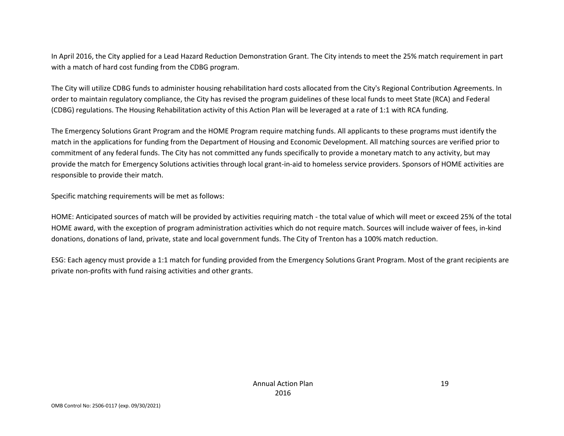In April 2016, the City applied for a Lead Hazard Reduction Demonstration Grant. The City intends to meet the 25% match requirement in part with a match of hard cost funding from the CDBG program.

The City will utilize CDBG funds to administer housing rehabilitation hard costs allocated from the City's Regional Contribution Agreements. In order to maintain regulatory compliance, the City has revised the program guidelines of these local funds to meet State (RCA) and Federal (CDBG) regulations. The Housing Rehabilitation activity of this Action Plan will be leveraged at a rate of 1:1 with RCA funding.

The Emergency Solutions Grant Program and the HOME Program require matching funds. All applicants to these programs must identify the match in the applications for funding from the Department of Housing and Economic Development. All matching sources are verified prior to commitment of any federal funds. The City has not committed any funds specifically to provide a monetary match to any activity, but may provide the match for Emergency Solutions activities through local grant-in-aid to homeless service providers. Sponsors of HOME activities are responsible to provide their match.

Specific matching requirements will be met as follows:

HOME: Anticipated sources of match will be provided by activities requiring match - the total value of which will meet or exceed 25% of the total HOME award, with the exception of program administration activities which do not require match. Sources will include waiver of fees, in-kind donations, donations of land, private, state and local government funds. The City of Trenton has a 100% match reduction.

ESG: Each agency must provide a 1:1 match for funding provided from the Emergency Solutions Grant Program. Most of the grant recipients are private non-profits with fund raising activities and other grants.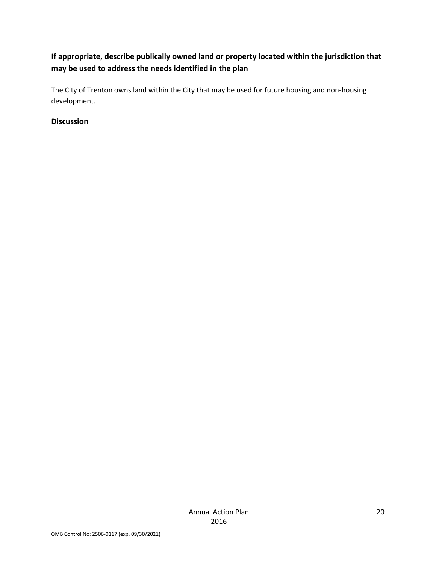### **If appropriate, describe publically owned land or property located within the jurisdiction that may be used to address the needs identified in the plan**

The City of Trenton owns land within the City that may be used for future housing and non-housing development.

#### **Discussion**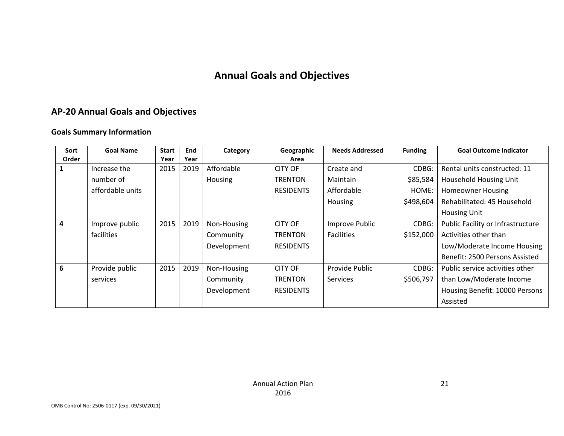# **Annual Goals and Objectives**

# **AP-20 Annual Goals and Objectives**

#### **Goals Summary Information**

| Sort  | <b>Goal Name</b> | <b>Start</b> | End  | Category    | Geographic       | <b>Needs Addressed</b> | <b>Funding</b> | <b>Goal Outcome Indicator</b>     |
|-------|------------------|--------------|------|-------------|------------------|------------------------|----------------|-----------------------------------|
| Order |                  | Year         | Year |             | Area             |                        |                |                                   |
|       | Increase the     | 2015         | 2019 | Affordable  | <b>CITY OF</b>   | Create and             | CDBG:          | Rental units constructed: 11      |
|       | number of        |              |      | Housing     | <b>TRENTON</b>   | <b>Maintain</b>        | \$85,584       | Household Housing Unit            |
|       | affordable units |              |      |             | <b>RESIDENTS</b> | Affordable             | HOME:          | <b>Homeowner Housing</b>          |
|       |                  |              |      |             |                  | Housing                | \$498,604      | Rehabilitated: 45 Household       |
|       |                  |              |      |             |                  |                        |                | <b>Housing Unit</b>               |
| 4     | Improve public   | 2015         | 2019 | Non-Housing | <b>CITY OF</b>   | Improve Public         | CDBG:          | Public Facility or Infrastructure |
|       | facilities       |              |      | Community   | <b>TRENTON</b>   | <b>Facilities</b>      | \$152,000      | Activities other than             |
|       |                  |              |      | Development | <b>RESIDENTS</b> |                        |                | Low/Moderate Income Housing       |
|       |                  |              |      |             |                  |                        |                | Benefit: 2500 Persons Assisted    |
| 6     | Provide public   | 2015         | 2019 | Non-Housing | <b>CITY OF</b>   | Provide Public         | CDBG:          | Public service activities other   |
|       | services         |              |      | Community   | <b>TRENTON</b>   | <b>Services</b>        | \$506,797      | than Low/Moderate Income          |
|       |                  |              |      | Development | <b>RESIDENTS</b> |                        |                | Housing Benefit: 10000 Persons    |
|       |                  |              |      |             |                  |                        |                | Assisted                          |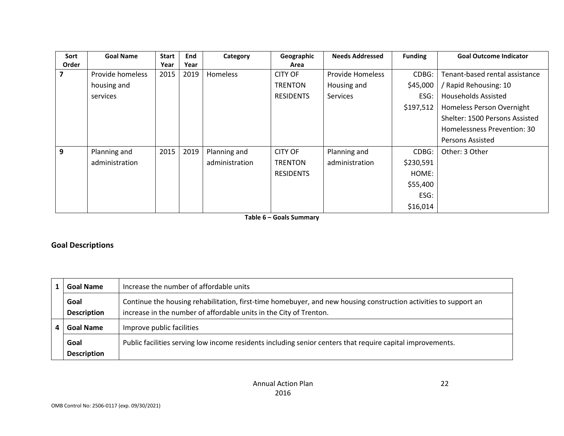| Sort  | <b>Goal Name</b> | <b>Start</b> | <b>End</b> | Category       | Geographic       | <b>Needs Addressed</b> | <b>Funding</b> | <b>Goal Outcome Indicator</b>  |
|-------|------------------|--------------|------------|----------------|------------------|------------------------|----------------|--------------------------------|
| Order |                  | Year         | Year       |                | Area             |                        |                |                                |
|       | Provide homeless | 2015         | 2019       | Homeless       | <b>CITY OF</b>   | Provide Homeless       | CDBG:          | Tenant-based rental assistance |
|       | housing and      |              |            |                | <b>TRENTON</b>   | Housing and            | \$45,000       | / Rapid Rehousing: 10          |
|       | services         |              |            |                | <b>RESIDENTS</b> | <b>Services</b>        | ESG:           | <b>Households Assisted</b>     |
|       |                  |              |            |                |                  |                        | \$197,512      | Homeless Person Overnight      |
|       |                  |              |            |                |                  |                        |                | Shelter: 1500 Persons Assisted |
|       |                  |              |            |                |                  |                        |                | Homelessness Prevention: 30    |
|       |                  |              |            |                |                  |                        |                | Persons Assisted               |
| 9     | Planning and     | 2015         | 2019       | Planning and   | <b>CITY OF</b>   | Planning and           | CDBG:          | Other: 3 Other                 |
|       | administration   |              |            | administration | <b>TRENTON</b>   | administration         | \$230,591      |                                |
|       |                  |              |            |                | <b>RESIDENTS</b> |                        | HOME:          |                                |
|       |                  |              |            |                |                  |                        | \$55,400       |                                |
|       |                  |              |            |                |                  |                        | ESG:           |                                |
|       |                  |              |            |                |                  |                        | \$16,014       |                                |

**Table 6 – Goals Summary**

#### **Goal Descriptions**

|   | <b>Goal Name</b>           | Increase the number of affordable units                                                                                                                                                |  |  |
|---|----------------------------|----------------------------------------------------------------------------------------------------------------------------------------------------------------------------------------|--|--|
|   | Goal<br><b>Description</b> | Continue the housing rehabilitation, first-time homebuyer, and new housing construction activities to support an<br>increase in the number of affordable units in the City of Trenton. |  |  |
| 4 | <b>Goal Name</b>           | Improve public facilities                                                                                                                                                              |  |  |
|   | Goal<br><b>Description</b> | Public facilities serving low income residents including senior centers that require capital improvements.                                                                             |  |  |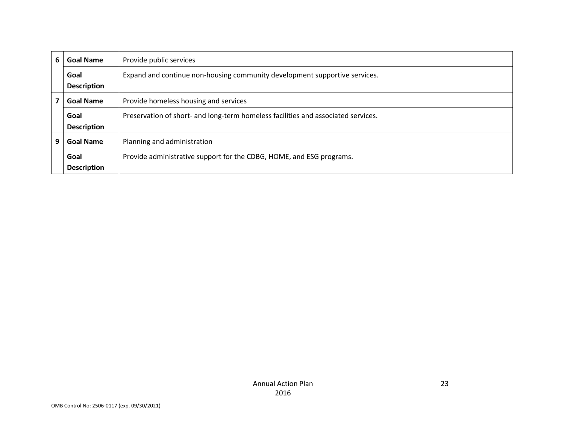| 6 | <b>Goal Name</b>   | Provide public services                                                           |  |
|---|--------------------|-----------------------------------------------------------------------------------|--|
|   | Goal               | Expand and continue non-housing community development supportive services.        |  |
|   | <b>Description</b> |                                                                                   |  |
|   | <b>Goal Name</b>   | Provide homeless housing and services                                             |  |
|   | Goal               | Preservation of short- and long-term homeless facilities and associated services. |  |
|   | <b>Description</b> |                                                                                   |  |
| 9 | <b>Goal Name</b>   | Planning and administration                                                       |  |
|   | Goal               | Provide administrative support for the CDBG, HOME, and ESG programs.              |  |
|   | <b>Description</b> |                                                                                   |  |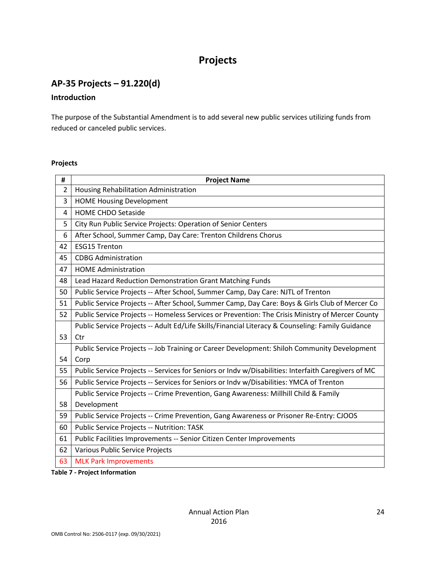# **Projects**

# **AP-35 Projects – 91.220(d)**

#### **Introduction**

The purpose of the Substantial Amendment is to add several new public services utilizing funds from reduced or canceled public services.

#### **Projects**

| #              | <b>Project Name</b>                                                                                 |  |  |
|----------------|-----------------------------------------------------------------------------------------------------|--|--|
| $\overline{2}$ | Housing Rehabilitation Administration                                                               |  |  |
| 3              | <b>HOME Housing Development</b>                                                                     |  |  |
| 4              | <b>HOME CHDO Setaside</b>                                                                           |  |  |
| 5              | City Run Public Service Projects: Operation of Senior Centers                                       |  |  |
| 6              | After School, Summer Camp, Day Care: Trenton Childrens Chorus                                       |  |  |
| 42             | <b>ESG15 Trenton</b>                                                                                |  |  |
| 45             | <b>CDBG Administration</b>                                                                          |  |  |
| 47             | <b>HOME Administration</b>                                                                          |  |  |
| 48             | Lead Hazard Reduction Demonstration Grant Matching Funds                                            |  |  |
| 50             | Public Service Projects -- After School, Summer Camp, Day Care: NJTL of Trenton                     |  |  |
| 51             | Public Service Projects -- After School, Summer Camp, Day Care: Boys & Girls Club of Mercer Co      |  |  |
| 52             | Public Service Projects -- Homeless Services or Prevention: The Crisis Ministry of Mercer County    |  |  |
|                | Public Service Projects -- Adult Ed/Life Skills/Financial Literacy & Counseling: Family Guidance    |  |  |
| 53             | Ctr                                                                                                 |  |  |
|                | Public Service Projects -- Job Training or Career Development: Shiloh Community Development         |  |  |
| 54             | Corp                                                                                                |  |  |
| 55             | Public Service Projects -- Services for Seniors or Indv w/Disabilities: Interfaith Caregivers of MC |  |  |
| 56             | Public Service Projects -- Services for Seniors or Indv w/Disabilities: YMCA of Trenton             |  |  |
|                | Public Service Projects -- Crime Prevention, Gang Awareness: Millhill Child & Family                |  |  |
| 58             | Development                                                                                         |  |  |
| 59             | Public Service Projects -- Crime Prevention, Gang Awareness or Prisoner Re-Entry: CJOOS             |  |  |
| 60             | Public Service Projects -- Nutrition: TASK                                                          |  |  |
| 61             | Public Facilities Improvements -- Senior Citizen Center Improvements                                |  |  |
| 62             | Various Public Service Projects                                                                     |  |  |
| 63             | <b>MLK Park Improvements</b>                                                                        |  |  |

**Table 7 - Project Information**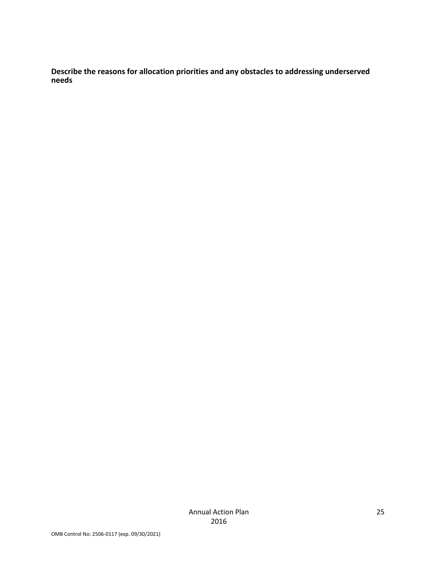**Describe the reasons for allocation priorities and any obstacles to addressing underserved needs**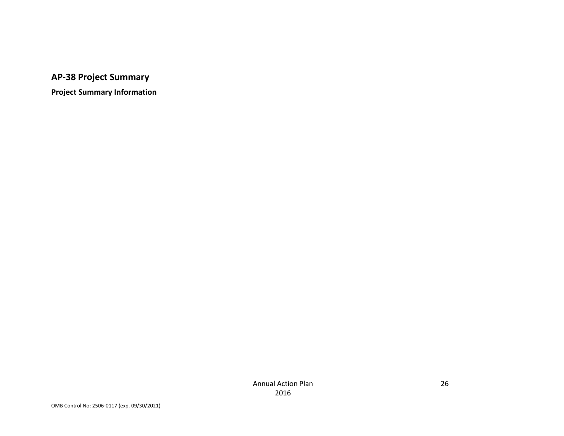# **AP-38 Project Summary**

**Project Summary Information**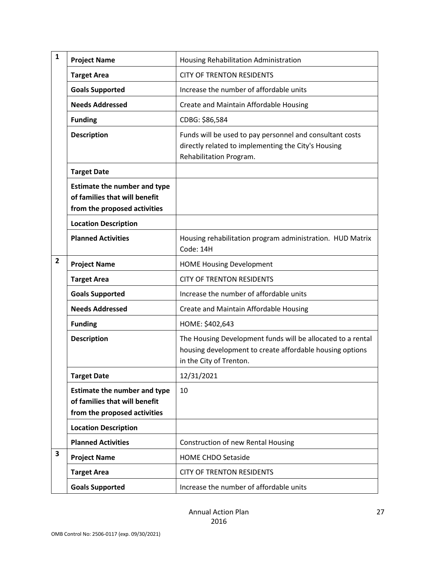| $\mathbf{1}$ | <b>Project Name</b>                                                                                  | Housing Rehabilitation Administration                                                                                                              |
|--------------|------------------------------------------------------------------------------------------------------|----------------------------------------------------------------------------------------------------------------------------------------------------|
|              | <b>Target Area</b>                                                                                   | <b>CITY OF TRENTON RESIDENTS</b>                                                                                                                   |
|              | <b>Goals Supported</b>                                                                               | Increase the number of affordable units                                                                                                            |
|              | <b>Needs Addressed</b>                                                                               | Create and Maintain Affordable Housing                                                                                                             |
|              | <b>Funding</b>                                                                                       | CDBG: \$86,584                                                                                                                                     |
|              | <b>Description</b>                                                                                   | Funds will be used to pay personnel and consultant costs<br>directly related to implementing the City's Housing<br>Rehabilitation Program.         |
|              | <b>Target Date</b>                                                                                   |                                                                                                                                                    |
|              | <b>Estimate the number and type</b><br>of families that will benefit<br>from the proposed activities |                                                                                                                                                    |
|              | <b>Location Description</b>                                                                          |                                                                                                                                                    |
|              | <b>Planned Activities</b>                                                                            | Housing rehabilitation program administration. HUD Matrix<br>Code: 14H                                                                             |
| $\mathbf{2}$ | <b>Project Name</b>                                                                                  | <b>HOME Housing Development</b>                                                                                                                    |
|              | <b>Target Area</b>                                                                                   | <b>CITY OF TRENTON RESIDENTS</b>                                                                                                                   |
|              | <b>Goals Supported</b>                                                                               | Increase the number of affordable units                                                                                                            |
|              | <b>Needs Addressed</b>                                                                               | Create and Maintain Affordable Housing                                                                                                             |
|              | <b>Funding</b>                                                                                       | HOME: \$402,643                                                                                                                                    |
|              | <b>Description</b>                                                                                   | The Housing Development funds will be allocated to a rental<br>housing development to create affordable housing options<br>in the City of Trenton. |
|              | <b>Target Date</b>                                                                                   | 12/31/2021                                                                                                                                         |
|              | <b>Estimate the number and type</b><br>of families that will benefit<br>from the proposed activities | 10                                                                                                                                                 |
|              | <b>Location Description</b>                                                                          |                                                                                                                                                    |
|              | <b>Planned Activities</b>                                                                            | <b>Construction of new Rental Housing</b>                                                                                                          |
| 3            | <b>Project Name</b>                                                                                  | <b>HOME CHDO Setaside</b>                                                                                                                          |
|              | <b>Target Area</b>                                                                                   | <b>CITY OF TRENTON RESIDENTS</b>                                                                                                                   |
|              | <b>Goals Supported</b>                                                                               | Increase the number of affordable units                                                                                                            |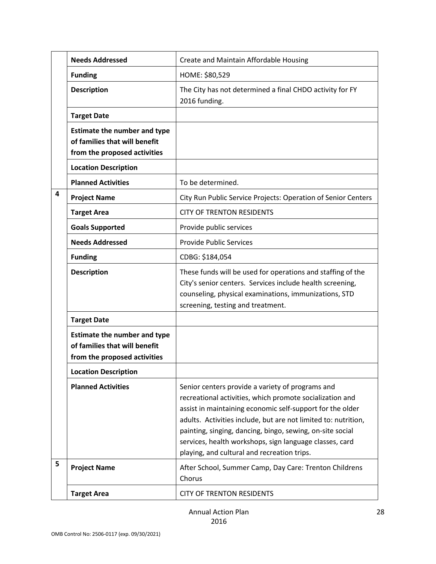|   | <b>Needs Addressed</b>                                                                               | Create and Maintain Affordable Housing                                                                                                                                                                                                                                                                                                                                                                             |
|---|------------------------------------------------------------------------------------------------------|--------------------------------------------------------------------------------------------------------------------------------------------------------------------------------------------------------------------------------------------------------------------------------------------------------------------------------------------------------------------------------------------------------------------|
|   | <b>Funding</b>                                                                                       | HOME: \$80,529                                                                                                                                                                                                                                                                                                                                                                                                     |
|   | <b>Description</b>                                                                                   | The City has not determined a final CHDO activity for FY<br>2016 funding.                                                                                                                                                                                                                                                                                                                                          |
|   | <b>Target Date</b>                                                                                   |                                                                                                                                                                                                                                                                                                                                                                                                                    |
|   | <b>Estimate the number and type</b><br>of families that will benefit<br>from the proposed activities |                                                                                                                                                                                                                                                                                                                                                                                                                    |
|   | <b>Location Description</b>                                                                          |                                                                                                                                                                                                                                                                                                                                                                                                                    |
|   | <b>Planned Activities</b>                                                                            | To be determined.                                                                                                                                                                                                                                                                                                                                                                                                  |
| 4 | <b>Project Name</b>                                                                                  | City Run Public Service Projects: Operation of Senior Centers                                                                                                                                                                                                                                                                                                                                                      |
|   | <b>Target Area</b>                                                                                   | <b>CITY OF TRENTON RESIDENTS</b>                                                                                                                                                                                                                                                                                                                                                                                   |
|   | <b>Goals Supported</b>                                                                               | Provide public services                                                                                                                                                                                                                                                                                                                                                                                            |
|   | <b>Needs Addressed</b>                                                                               | <b>Provide Public Services</b>                                                                                                                                                                                                                                                                                                                                                                                     |
|   | <b>Funding</b>                                                                                       | CDBG: \$184,054                                                                                                                                                                                                                                                                                                                                                                                                    |
|   | <b>Description</b>                                                                                   | These funds will be used for operations and staffing of the<br>City's senior centers. Services include health screening,<br>counseling, physical examinations, immunizations, STD<br>screening, testing and treatment.                                                                                                                                                                                             |
|   | <b>Target Date</b>                                                                                   |                                                                                                                                                                                                                                                                                                                                                                                                                    |
|   | <b>Estimate the number and type</b><br>of families that will benefit<br>from the proposed activities |                                                                                                                                                                                                                                                                                                                                                                                                                    |
|   | <b>Location Description</b>                                                                          |                                                                                                                                                                                                                                                                                                                                                                                                                    |
|   | <b>Planned Activities</b>                                                                            | Senior centers provide a variety of programs and<br>recreational activities, which promote socialization and<br>assist in maintaining economic self-support for the older<br>adults. Activities include, but are not limited to: nutrition,<br>painting, singing, dancing, bingo, sewing, on-site social<br>services, health workshops, sign language classes, card<br>playing, and cultural and recreation trips. |
| 5 | <b>Project Name</b>                                                                                  | After School, Summer Camp, Day Care: Trenton Childrens<br>Chorus                                                                                                                                                                                                                                                                                                                                                   |
|   | <b>Target Area</b>                                                                                   | <b>CITY OF TRENTON RESIDENTS</b>                                                                                                                                                                                                                                                                                                                                                                                   |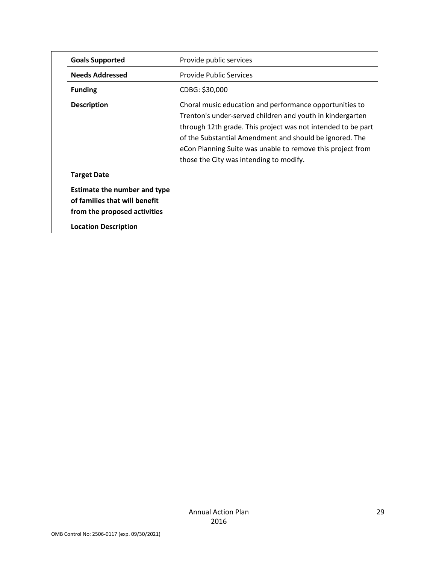| <b>Goals Supported</b>                                                                               | Provide public services                                                                                                                                                                                                                                                                                                                                  |
|------------------------------------------------------------------------------------------------------|----------------------------------------------------------------------------------------------------------------------------------------------------------------------------------------------------------------------------------------------------------------------------------------------------------------------------------------------------------|
| <b>Needs Addressed</b>                                                                               | <b>Provide Public Services</b>                                                                                                                                                                                                                                                                                                                           |
| <b>Funding</b>                                                                                       | CDBG: \$30,000                                                                                                                                                                                                                                                                                                                                           |
| <b>Description</b>                                                                                   | Choral music education and performance opportunities to<br>Trenton's under-served children and youth in kindergarten<br>through 12th grade. This project was not intended to be part<br>of the Substantial Amendment and should be ignored. The<br>eCon Planning Suite was unable to remove this project from<br>those the City was intending to modify. |
| <b>Target Date</b>                                                                                   |                                                                                                                                                                                                                                                                                                                                                          |
| <b>Estimate the number and type</b><br>of families that will benefit<br>from the proposed activities |                                                                                                                                                                                                                                                                                                                                                          |
| <b>Location Description</b>                                                                          |                                                                                                                                                                                                                                                                                                                                                          |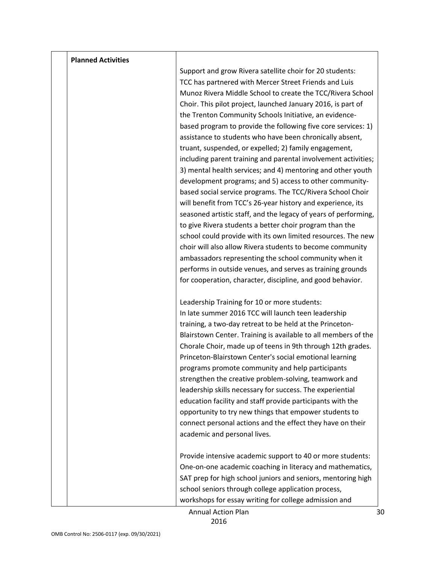| <b>Planned Activities</b> |                                                                                                                                                                                                                                                                                                                                                                                                                                                                                                                                                                                                                                                                                                                                                                                                                                                                                                                                                                                                                                                                                                                                                                                                                                                                          |
|---------------------------|--------------------------------------------------------------------------------------------------------------------------------------------------------------------------------------------------------------------------------------------------------------------------------------------------------------------------------------------------------------------------------------------------------------------------------------------------------------------------------------------------------------------------------------------------------------------------------------------------------------------------------------------------------------------------------------------------------------------------------------------------------------------------------------------------------------------------------------------------------------------------------------------------------------------------------------------------------------------------------------------------------------------------------------------------------------------------------------------------------------------------------------------------------------------------------------------------------------------------------------------------------------------------|
|                           | Support and grow Rivera satellite choir for 20 students:<br>TCC has partnered with Mercer Street Friends and Luis<br>Munoz Rivera Middle School to create the TCC/Rivera School<br>Choir. This pilot project, launched January 2016, is part of<br>the Trenton Community Schools Initiative, an evidence-<br>based program to provide the following five core services: 1)<br>assistance to students who have been chronically absent,<br>truant, suspended, or expelled; 2) family engagement,<br>including parent training and parental involvement activities;<br>3) mental health services; and 4) mentoring and other youth<br>development programs; and 5) access to other community-<br>based social service programs. The TCC/Rivera School Choir<br>will benefit from TCC's 26-year history and experience, its<br>seasoned artistic staff, and the legacy of years of performing,<br>to give Rivera students a better choir program than the<br>school could provide with its own limited resources. The new<br>choir will also allow Rivera students to become community<br>ambassadors representing the school community when it<br>performs in outside venues, and serves as training grounds<br>for cooperation, character, discipline, and good behavior. |
|                           | Leadership Training for 10 or more students:<br>In late summer 2016 TCC will launch teen leadership<br>training, a two-day retreat to be held at the Princeton-<br>Blairstown Center. Training is available to all members of the<br>Chorale Choir, made up of teens in 9th through 12th grades.<br>Princeton-Blairstown Center's social emotional learning<br>programs promote community and help participants<br>strengthen the creative problem-solving, teamwork and<br>leadership skills necessary for success. The experiential<br>education facility and staff provide participants with the<br>opportunity to try new things that empower students to<br>connect personal actions and the effect they have on their<br>academic and personal lives.<br>Provide intensive academic support to 40 or more students:                                                                                                                                                                                                                                                                                                                                                                                                                                                |
|                           | One-on-one academic coaching in literacy and mathematics,<br>SAT prep for high school juniors and seniors, mentoring high<br>school seniors through college application process,<br>workshops for essay writing for college admission and                                                                                                                                                                                                                                                                                                                                                                                                                                                                                                                                                                                                                                                                                                                                                                                                                                                                                                                                                                                                                                |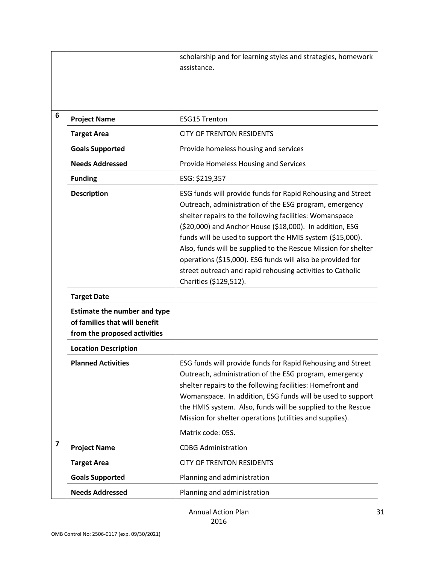|                         |                                     | scholarship and for learning styles and strategies, homework                                                                                                                                                                                                                                                                                                                                                                                                                                                                      |
|-------------------------|-------------------------------------|-----------------------------------------------------------------------------------------------------------------------------------------------------------------------------------------------------------------------------------------------------------------------------------------------------------------------------------------------------------------------------------------------------------------------------------------------------------------------------------------------------------------------------------|
|                         |                                     | assistance.                                                                                                                                                                                                                                                                                                                                                                                                                                                                                                                       |
|                         |                                     |                                                                                                                                                                                                                                                                                                                                                                                                                                                                                                                                   |
|                         |                                     |                                                                                                                                                                                                                                                                                                                                                                                                                                                                                                                                   |
| 6                       |                                     | <b>ESG15 Trenton</b>                                                                                                                                                                                                                                                                                                                                                                                                                                                                                                              |
|                         | <b>Project Name</b>                 |                                                                                                                                                                                                                                                                                                                                                                                                                                                                                                                                   |
|                         | <b>Target Area</b>                  | <b>CITY OF TRENTON RESIDENTS</b>                                                                                                                                                                                                                                                                                                                                                                                                                                                                                                  |
|                         | <b>Goals Supported</b>              | Provide homeless housing and services                                                                                                                                                                                                                                                                                                                                                                                                                                                                                             |
|                         | <b>Needs Addressed</b>              | Provide Homeless Housing and Services                                                                                                                                                                                                                                                                                                                                                                                                                                                                                             |
|                         | <b>Funding</b>                      | ESG: \$219,357                                                                                                                                                                                                                                                                                                                                                                                                                                                                                                                    |
|                         | <b>Description</b>                  | ESG funds will provide funds for Rapid Rehousing and Street<br>Outreach, administration of the ESG program, emergency<br>shelter repairs to the following facilities: Womanspace<br>(\$20,000) and Anchor House (\$18,000). In addition, ESG<br>funds will be used to support the HMIS system (\$15,000).<br>Also, funds will be supplied to the Rescue Mission for shelter<br>operations (\$15,000). ESG funds will also be provided for<br>street outreach and rapid rehousing activities to Catholic<br>Charities (\$129,512). |
|                         | <b>Target Date</b>                  |                                                                                                                                                                                                                                                                                                                                                                                                                                                                                                                                   |
|                         | <b>Estimate the number and type</b> |                                                                                                                                                                                                                                                                                                                                                                                                                                                                                                                                   |
|                         | of families that will benefit       |                                                                                                                                                                                                                                                                                                                                                                                                                                                                                                                                   |
|                         | from the proposed activities        |                                                                                                                                                                                                                                                                                                                                                                                                                                                                                                                                   |
|                         | <b>Location Description</b>         |                                                                                                                                                                                                                                                                                                                                                                                                                                                                                                                                   |
|                         | <b>Planned Activities</b>           | ESG funds will provide funds for Rapid Rehousing and Street<br>Outreach, administration of the ESG program, emergency<br>shelter repairs to the following facilities: Homefront and<br>Womanspace. In addition, ESG funds will be used to support<br>the HMIS system. Also, funds will be supplied to the Rescue<br>Mission for shelter operations (utilities and supplies).                                                                                                                                                      |
|                         |                                     | Matrix code: 05S.                                                                                                                                                                                                                                                                                                                                                                                                                                                                                                                 |
| $\overline{\mathbf{z}}$ | <b>Project Name</b>                 | <b>CDBG Administration</b>                                                                                                                                                                                                                                                                                                                                                                                                                                                                                                        |
|                         | <b>Target Area</b>                  | <b>CITY OF TRENTON RESIDENTS</b>                                                                                                                                                                                                                                                                                                                                                                                                                                                                                                  |
|                         | <b>Goals Supported</b>              | Planning and administration                                                                                                                                                                                                                                                                                                                                                                                                                                                                                                       |
|                         | <b>Needs Addressed</b>              | Planning and administration                                                                                                                                                                                                                                                                                                                                                                                                                                                                                                       |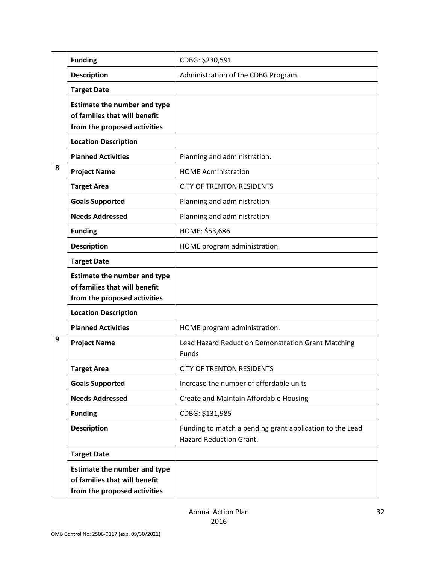|   | <b>Funding</b>                                                                                       | CDBG: \$230,591                                                                            |
|---|------------------------------------------------------------------------------------------------------|--------------------------------------------------------------------------------------------|
|   | <b>Description</b>                                                                                   | Administration of the CDBG Program.                                                        |
|   | <b>Target Date</b>                                                                                   |                                                                                            |
|   | <b>Estimate the number and type</b><br>of families that will benefit<br>from the proposed activities |                                                                                            |
|   | <b>Location Description</b>                                                                          |                                                                                            |
|   | <b>Planned Activities</b>                                                                            | Planning and administration.                                                               |
| 8 | <b>Project Name</b>                                                                                  | <b>HOME Administration</b>                                                                 |
|   | <b>Target Area</b>                                                                                   | <b>CITY OF TRENTON RESIDENTS</b>                                                           |
|   | <b>Goals Supported</b>                                                                               | Planning and administration                                                                |
|   | <b>Needs Addressed</b>                                                                               | Planning and administration                                                                |
|   | <b>Funding</b>                                                                                       | HOME: \$53,686                                                                             |
|   | <b>Description</b>                                                                                   | HOME program administration.                                                               |
|   | <b>Target Date</b>                                                                                   |                                                                                            |
|   | <b>Estimate the number and type</b><br>of families that will benefit<br>from the proposed activities |                                                                                            |
|   | <b>Location Description</b>                                                                          |                                                                                            |
|   | <b>Planned Activities</b>                                                                            | HOME program administration.                                                               |
| 9 | <b>Project Name</b>                                                                                  | Lead Hazard Reduction Demonstration Grant Matching<br>Funds                                |
|   | <b>Target Area</b>                                                                                   | <b>CITY OF TRENTON RESIDENTS</b>                                                           |
|   | <b>Goals Supported</b>                                                                               | Increase the number of affordable units                                                    |
|   | <b>Needs Addressed</b>                                                                               | Create and Maintain Affordable Housing                                                     |
|   | <b>Funding</b>                                                                                       | CDBG: \$131,985                                                                            |
|   | <b>Description</b>                                                                                   | Funding to match a pending grant application to the Lead<br><b>Hazard Reduction Grant.</b> |
|   | <b>Target Date</b>                                                                                   |                                                                                            |
|   | <b>Estimate the number and type</b><br>of families that will benefit<br>from the proposed activities |                                                                                            |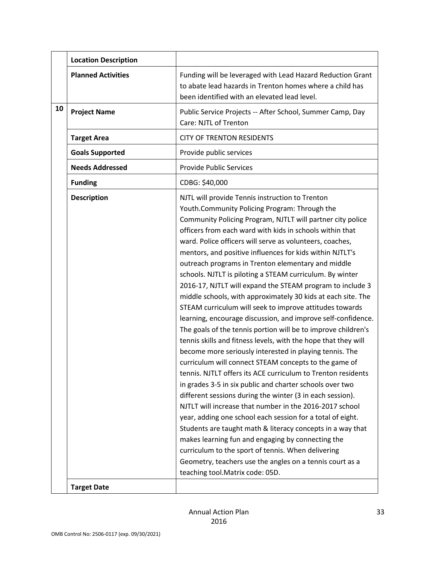|    | <b>Location Description</b>              |                                                                                                                                                                                                                                                                                                                                                                                                                                                                                                                                                                                                                                                                                                                                                                                                                                                                                                                                                                                                                                                                                                                                                                                                                                                                                                                                                                                                                                                                                                                                                                                |
|----|------------------------------------------|--------------------------------------------------------------------------------------------------------------------------------------------------------------------------------------------------------------------------------------------------------------------------------------------------------------------------------------------------------------------------------------------------------------------------------------------------------------------------------------------------------------------------------------------------------------------------------------------------------------------------------------------------------------------------------------------------------------------------------------------------------------------------------------------------------------------------------------------------------------------------------------------------------------------------------------------------------------------------------------------------------------------------------------------------------------------------------------------------------------------------------------------------------------------------------------------------------------------------------------------------------------------------------------------------------------------------------------------------------------------------------------------------------------------------------------------------------------------------------------------------------------------------------------------------------------------------------|
|    | <b>Planned Activities</b>                | Funding will be leveraged with Lead Hazard Reduction Grant<br>to abate lead hazards in Trenton homes where a child has<br>been identified with an elevated lead level.                                                                                                                                                                                                                                                                                                                                                                                                                                                                                                                                                                                                                                                                                                                                                                                                                                                                                                                                                                                                                                                                                                                                                                                                                                                                                                                                                                                                         |
| 10 | <b>Project Name</b>                      | Public Service Projects -- After School, Summer Camp, Day<br>Care: NJTL of Trenton                                                                                                                                                                                                                                                                                                                                                                                                                                                                                                                                                                                                                                                                                                                                                                                                                                                                                                                                                                                                                                                                                                                                                                                                                                                                                                                                                                                                                                                                                             |
|    | <b>Target Area</b>                       | <b>CITY OF TRENTON RESIDENTS</b>                                                                                                                                                                                                                                                                                                                                                                                                                                                                                                                                                                                                                                                                                                                                                                                                                                                                                                                                                                                                                                                                                                                                                                                                                                                                                                                                                                                                                                                                                                                                               |
|    | <b>Goals Supported</b>                   | Provide public services                                                                                                                                                                                                                                                                                                                                                                                                                                                                                                                                                                                                                                                                                                                                                                                                                                                                                                                                                                                                                                                                                                                                                                                                                                                                                                                                                                                                                                                                                                                                                        |
|    | <b>Needs Addressed</b>                   | <b>Provide Public Services</b>                                                                                                                                                                                                                                                                                                                                                                                                                                                                                                                                                                                                                                                                                                                                                                                                                                                                                                                                                                                                                                                                                                                                                                                                                                                                                                                                                                                                                                                                                                                                                 |
|    | <b>Funding</b>                           | CDBG: \$40,000                                                                                                                                                                                                                                                                                                                                                                                                                                                                                                                                                                                                                                                                                                                                                                                                                                                                                                                                                                                                                                                                                                                                                                                                                                                                                                                                                                                                                                                                                                                                                                 |
|    | <b>Description</b><br><b>Target Date</b> | NJTL will provide Tennis instruction to Trenton<br>Youth.Community Policing Program: Through the<br>Community Policing Program, NJTLT will partner city police<br>officers from each ward with kids in schools within that<br>ward. Police officers will serve as volunteers, coaches,<br>mentors, and positive influences for kids within NJTLT's<br>outreach programs in Trenton elementary and middle<br>schools. NJTLT is piloting a STEAM curriculum. By winter<br>2016-17, NJTLT will expand the STEAM program to include 3<br>middle schools, with approximately 30 kids at each site. The<br>STEAM curriculum will seek to improve attitudes towards<br>learning, encourage discussion, and improve self-confidence.<br>The goals of the tennis portion will be to improve children's<br>tennis skills and fitness levels, with the hope that they will<br>become more seriously interested in playing tennis. The<br>curriculum will connect STEAM concepts to the game of<br>tennis. NJTLT offers its ACE curriculum to Trenton residents<br>in grades 3-5 in six public and charter schools over two<br>different sessions during the winter (3 in each session).<br>NJTLT will increase that number in the 2016-2017 school<br>year, adding one school each session for a total of eight.<br>Students are taught math & literacy concepts in a way that<br>makes learning fun and engaging by connecting the<br>curriculum to the sport of tennis. When delivering<br>Geometry, teachers use the angles on a tennis court as a<br>teaching tool. Matrix code: 05D. |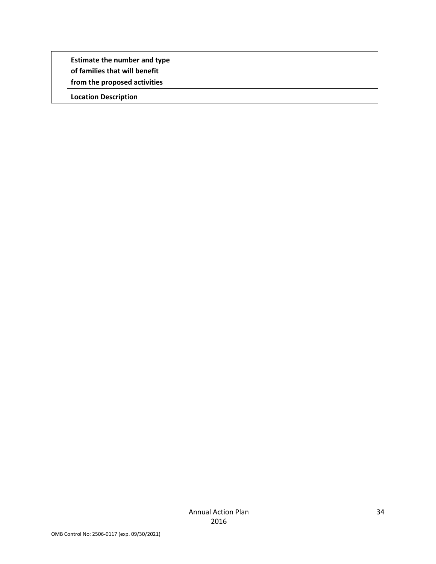| <b>Estimate the number and type</b><br>of families that will benefit<br>from the proposed activities |  |
|------------------------------------------------------------------------------------------------------|--|
| <b>Location Description</b>                                                                          |  |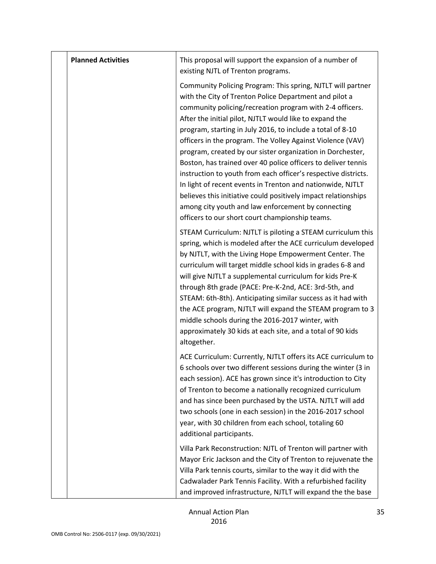| <b>Planned Activities</b> | This proposal will support the expansion of a number of<br>existing NJTL of Trenton programs.                                                                                                                                                                                                                                                                                                                                                                                                                                                                                                                                                                                                                                                                                                                      |
|---------------------------|--------------------------------------------------------------------------------------------------------------------------------------------------------------------------------------------------------------------------------------------------------------------------------------------------------------------------------------------------------------------------------------------------------------------------------------------------------------------------------------------------------------------------------------------------------------------------------------------------------------------------------------------------------------------------------------------------------------------------------------------------------------------------------------------------------------------|
|                           | Community Policing Program: This spring, NJTLT will partner<br>with the City of Trenton Police Department and pilot a<br>community policing/recreation program with 2-4 officers.<br>After the initial pilot, NJTLT would like to expand the<br>program, starting in July 2016, to include a total of 8-10<br>officers in the program. The Volley Against Violence (VAV)<br>program, created by our sister organization in Dorchester,<br>Boston, has trained over 40 police officers to deliver tennis<br>instruction to youth from each officer's respective districts.<br>In light of recent events in Trenton and nationwide, NJTLT<br>believes this initiative could positively impact relationships<br>among city youth and law enforcement by connecting<br>officers to our short court championship teams. |
|                           | STEAM Curriculum: NJTLT is piloting a STEAM curriculum this<br>spring, which is modeled after the ACE curriculum developed<br>by NJTLT, with the Living Hope Empowerment Center. The<br>curriculum will target middle school kids in grades 6-8 and<br>will give NJTLT a supplemental curriculum for kids Pre-K<br>through 8th grade (PACE: Pre-K-2nd, ACE: 3rd-5th, and<br>STEAM: 6th-8th). Anticipating similar success as it had with<br>the ACE program, NJTLT will expand the STEAM program to 3<br>middle schools during the 2016-2017 winter, with<br>approximately 30 kids at each site, and a total of 90 kids<br>altogether.                                                                                                                                                                             |
|                           | ACE Curriculum: Currently, NJTLT offers its ACE curriculum to<br>6 schools over two different sessions during the winter (3 in<br>each session). ACE has grown since it's introduction to City<br>of Trenton to become a nationally recognized curriculum<br>and has since been purchased by the USTA. NJTLT will add<br>two schools (one in each session) in the 2016-2017 school<br>year, with 30 children from each school, totaling 60<br>additional participants.                                                                                                                                                                                                                                                                                                                                             |
|                           | Villa Park Reconstruction: NJTL of Trenton will partner with<br>Mayor Eric Jackson and the City of Trenton to rejuvenate the<br>Villa Park tennis courts, similar to the way it did with the<br>Cadwalader Park Tennis Facility. With a refurbished facility<br>and improved infrastructure, NJTLT will expand the the base                                                                                                                                                                                                                                                                                                                                                                                                                                                                                        |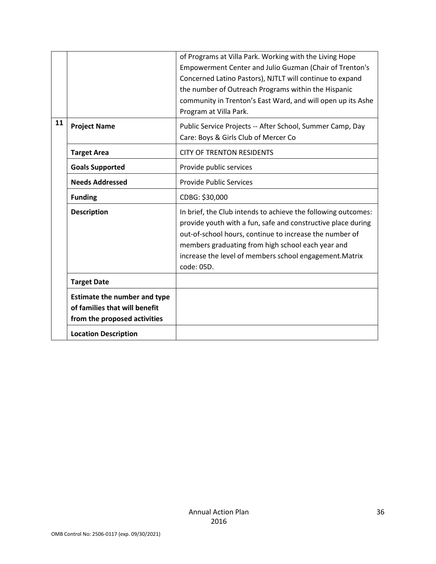|    |                                                                                                      | of Programs at Villa Park. Working with the Living Hope<br>Empowerment Center and Julio Guzman (Chair of Trenton's<br>Concerned Latino Pastors), NJTLT will continue to expand<br>the number of Outreach Programs within the Hispanic<br>community in Trenton's East Ward, and will open up its Ashe<br>Program at Villa Park. |
|----|------------------------------------------------------------------------------------------------------|--------------------------------------------------------------------------------------------------------------------------------------------------------------------------------------------------------------------------------------------------------------------------------------------------------------------------------|
| 11 | <b>Project Name</b>                                                                                  | Public Service Projects -- After School, Summer Camp, Day<br>Care: Boys & Girls Club of Mercer Co                                                                                                                                                                                                                              |
|    | <b>Target Area</b>                                                                                   | <b>CITY OF TRENTON RESIDENTS</b>                                                                                                                                                                                                                                                                                               |
|    | <b>Goals Supported</b>                                                                               | Provide public services                                                                                                                                                                                                                                                                                                        |
|    | <b>Needs Addressed</b>                                                                               | <b>Provide Public Services</b>                                                                                                                                                                                                                                                                                                 |
|    | <b>Funding</b>                                                                                       | CDBG: \$30,000                                                                                                                                                                                                                                                                                                                 |
|    | <b>Description</b>                                                                                   | In brief, the Club intends to achieve the following outcomes:<br>provide youth with a fun, safe and constructive place during<br>out-of-school hours, continue to increase the number of<br>members graduating from high school each year and<br>increase the level of members school engagement. Matrix<br>code: 05D.         |
|    | <b>Target Date</b>                                                                                   |                                                                                                                                                                                                                                                                                                                                |
|    | <b>Estimate the number and type</b><br>of families that will benefit<br>from the proposed activities |                                                                                                                                                                                                                                                                                                                                |
|    | <b>Location Description</b>                                                                          |                                                                                                                                                                                                                                                                                                                                |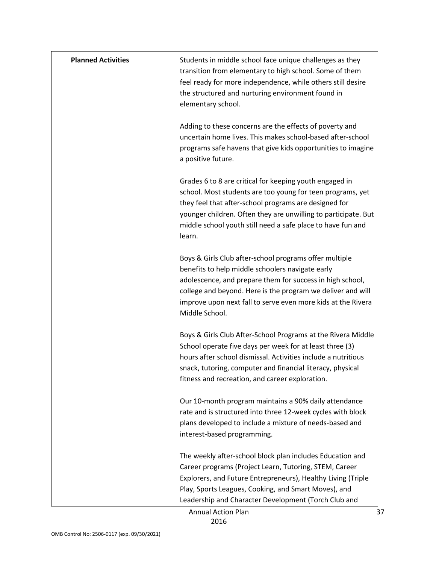| <b>Planned Activities</b> | Students in middle school face unique challenges as they<br>transition from elementary to high school. Some of them<br>feel ready for more independence, while others still desire<br>the structured and nurturing environment found in<br>elementary school.                                                             |
|---------------------------|---------------------------------------------------------------------------------------------------------------------------------------------------------------------------------------------------------------------------------------------------------------------------------------------------------------------------|
|                           | Adding to these concerns are the effects of poverty and<br>uncertain home lives. This makes school-based after-school<br>programs safe havens that give kids opportunities to imagine<br>a positive future.                                                                                                               |
|                           | Grades 6 to 8 are critical for keeping youth engaged in<br>school. Most students are too young for teen programs, yet<br>they feel that after-school programs are designed for<br>younger children. Often they are unwilling to participate. But<br>middle school youth still need a safe place to have fun and<br>learn. |
|                           | Boys & Girls Club after-school programs offer multiple<br>benefits to help middle schoolers navigate early<br>adolescence, and prepare them for success in high school,<br>college and beyond. Here is the program we deliver and will<br>improve upon next fall to serve even more kids at the Rivera<br>Middle School.  |
|                           | Boys & Girls Club After-School Programs at the Rivera Middle<br>School operate five days per week for at least three (3)<br>hours after school dismissal. Activities include a nutritious<br>snack, tutoring, computer and financial literacy, physical<br>fitness and recreation, and career exploration.                |
|                           | Our 10-month program maintains a 90% daily attendance<br>rate and is structured into three 12-week cycles with block<br>plans developed to include a mixture of needs-based and<br>interest-based programming.                                                                                                            |
|                           | The weekly after-school block plan includes Education and<br>Career programs (Project Learn, Tutoring, STEM, Career<br>Explorers, and Future Entrepreneurs), Healthy Living (Triple<br>Play, Sports Leagues, Cooking, and Smart Moves), and<br>Leadership and Character Development (Torch Club and                       |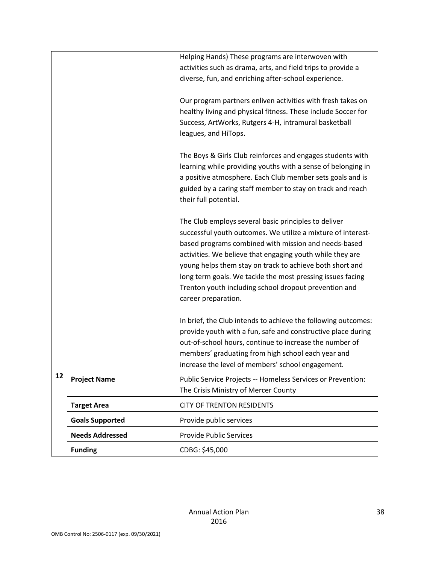|    |                        | Helping Hands) These programs are interwoven with             |
|----|------------------------|---------------------------------------------------------------|
|    |                        | activities such as drama, arts, and field trips to provide a  |
|    |                        | diverse, fun, and enriching after-school experience.          |
|    |                        |                                                               |
|    |                        | Our program partners enliven activities with fresh takes on   |
|    |                        | healthy living and physical fitness. These include Soccer for |
|    |                        | Success, ArtWorks, Rutgers 4-H, intramural basketball         |
|    |                        | leagues, and HiTops.                                          |
|    |                        |                                                               |
|    |                        | The Boys & Girls Club reinforces and engages students with    |
|    |                        | learning while providing youths with a sense of belonging in  |
|    |                        | a positive atmosphere. Each Club member sets goals and is     |
|    |                        | guided by a caring staff member to stay on track and reach    |
|    |                        | their full potential.                                         |
|    |                        | The Club employs several basic principles to deliver          |
|    |                        | successful youth outcomes. We utilize a mixture of interest-  |
|    |                        | based programs combined with mission and needs-based          |
|    |                        | activities. We believe that engaging youth while they are     |
|    |                        | young helps them stay on track to achieve both short and      |
|    |                        | long term goals. We tackle the most pressing issues facing    |
|    |                        | Trenton youth including school dropout prevention and         |
|    |                        | career preparation.                                           |
|    |                        |                                                               |
|    |                        | In brief, the Club intends to achieve the following outcomes: |
|    |                        | provide youth with a fun, safe and constructive place during  |
|    |                        | out-of-school hours, continue to increase the number of       |
|    |                        | members' graduating from high school each year and            |
| 12 |                        | increase the level of members' school engagement.             |
|    | <b>Project Name</b>    | Public Service Projects -- Homeless Services or Prevention:   |
|    |                        | The Crisis Ministry of Mercer County                          |
|    | <b>Target Area</b>     | <b>CITY OF TRENTON RESIDENTS</b>                              |
|    | <b>Goals Supported</b> | Provide public services                                       |
|    | <b>Needs Addressed</b> | <b>Provide Public Services</b>                                |
|    | <b>Funding</b>         | CDBG: \$45,000                                                |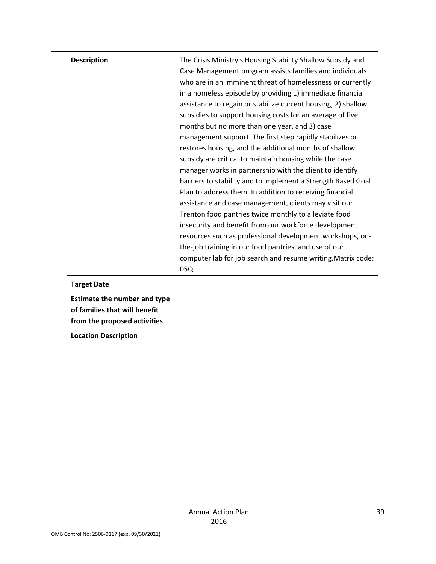| <b>Description</b>                                                                                   | The Crisis Ministry's Housing Stability Shallow Subsidy and<br>Case Management program assists families and individuals<br>who are in an imminent threat of homelessness or currently<br>in a homeless episode by providing 1) immediate financial<br>assistance to regain or stabilize current housing, 2) shallow<br>subsidies to support housing costs for an average of five<br>months but no more than one year, and 3) case<br>management support. The first step rapidly stabilizes or<br>restores housing, and the additional months of shallow<br>subsidy are critical to maintain housing while the case<br>manager works in partnership with the client to identify<br>barriers to stability and to implement a Strength Based Goal<br>Plan to address them. In addition to receiving financial<br>assistance and case management, clients may visit our<br>Trenton food pantries twice monthly to alleviate food<br>insecurity and benefit from our workforce development<br>resources such as professional development workshops, on-<br>the-job training in our food pantries, and use of our<br>computer lab for job search and resume writing. Matrix code:<br>05Q |
|------------------------------------------------------------------------------------------------------|------------------------------------------------------------------------------------------------------------------------------------------------------------------------------------------------------------------------------------------------------------------------------------------------------------------------------------------------------------------------------------------------------------------------------------------------------------------------------------------------------------------------------------------------------------------------------------------------------------------------------------------------------------------------------------------------------------------------------------------------------------------------------------------------------------------------------------------------------------------------------------------------------------------------------------------------------------------------------------------------------------------------------------------------------------------------------------------------------------------------------------------------------------------------------------|
| <b>Target Date</b>                                                                                   |                                                                                                                                                                                                                                                                                                                                                                                                                                                                                                                                                                                                                                                                                                                                                                                                                                                                                                                                                                                                                                                                                                                                                                                    |
| <b>Estimate the number and type</b><br>of families that will benefit<br>from the proposed activities |                                                                                                                                                                                                                                                                                                                                                                                                                                                                                                                                                                                                                                                                                                                                                                                                                                                                                                                                                                                                                                                                                                                                                                                    |
| <b>Location Description</b>                                                                          |                                                                                                                                                                                                                                                                                                                                                                                                                                                                                                                                                                                                                                                                                                                                                                                                                                                                                                                                                                                                                                                                                                                                                                                    |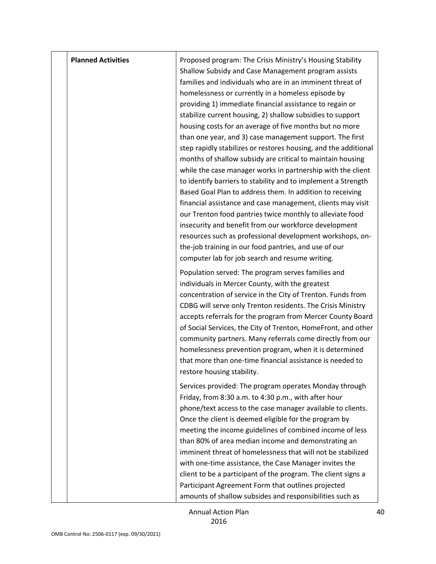| <b>Planned Activities</b> | Proposed program: The Crisis Ministry's Housing Stability<br>Shallow Subsidy and Case Management program assists                                                                                                                                                                                                                                                                                                                                                                                                                                                                                                                                                                                                                                                                                                                                                                                                                                                                                                                                             |
|---------------------------|--------------------------------------------------------------------------------------------------------------------------------------------------------------------------------------------------------------------------------------------------------------------------------------------------------------------------------------------------------------------------------------------------------------------------------------------------------------------------------------------------------------------------------------------------------------------------------------------------------------------------------------------------------------------------------------------------------------------------------------------------------------------------------------------------------------------------------------------------------------------------------------------------------------------------------------------------------------------------------------------------------------------------------------------------------------|
|                           | families and individuals who are in an imminent threat of<br>homelessness or currently in a homeless episode by<br>providing 1) immediate financial assistance to regain or<br>stabilize current housing, 2) shallow subsidies to support<br>housing costs for an average of five months but no more<br>than one year, and 3) case management support. The first<br>step rapidly stabilizes or restores housing, and the additional<br>months of shallow subsidy are critical to maintain housing<br>while the case manager works in partnership with the client<br>to identify barriers to stability and to implement a Strength<br>Based Goal Plan to address them. In addition to receiving<br>financial assistance and case management, clients may visit<br>our Trenton food pantries twice monthly to alleviate food<br>insecurity and benefit from our workforce development<br>resources such as professional development workshops, on-<br>the-job training in our food pantries, and use of our<br>computer lab for job search and resume writing. |
|                           | Population served: The program serves families and<br>individuals in Mercer County, with the greatest<br>concentration of service in the City of Trenton. Funds from<br>CDBG will serve only Trenton residents. The Crisis Ministry<br>accepts referrals for the program from Mercer County Board<br>of Social Services, the City of Trenton, HomeFront, and other<br>community partners. Many referrals come directly from our<br>homelessness prevention program, when it is determined<br>that more than one-time financial assistance is needed to<br>restore housing stability.                                                                                                                                                                                                                                                                                                                                                                                                                                                                         |
|                           | Services provided: The program operates Monday through<br>Friday, from 8:30 a.m. to 4:30 p.m., with after hour<br>phone/text access to the case manager available to clients.<br>Once the client is deemed eligible for the program by<br>meeting the income guidelines of combined income of less<br>than 80% of area median income and demonstrating an<br>imminent threat of homelessness that will not be stabilized<br>with one-time assistance, the Case Manager invites the<br>client to be a participant of the program. The client signs a<br>Participant Agreement Form that outlines projected<br>amounts of shallow subsides and responsibilities such as                                                                                                                                                                                                                                                                                                                                                                                        |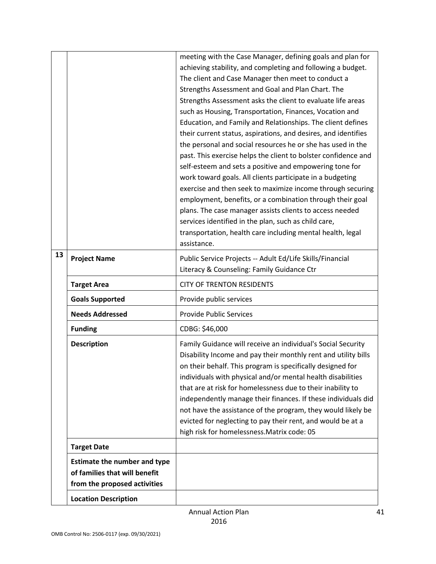|    |                                     | meeting with the Case Manager, defining goals and plan for                                              |
|----|-------------------------------------|---------------------------------------------------------------------------------------------------------|
|    |                                     | achieving stability, and completing and following a budget.                                             |
|    |                                     | The client and Case Manager then meet to conduct a<br>Strengths Assessment and Goal and Plan Chart. The |
|    |                                     | Strengths Assessment asks the client to evaluate life areas                                             |
|    |                                     | such as Housing, Transportation, Finances, Vocation and                                                 |
|    |                                     | Education, and Family and Relationships. The client defines                                             |
|    |                                     | their current status, aspirations, and desires, and identifies                                          |
|    |                                     | the personal and social resources he or she has used in the                                             |
|    |                                     | past. This exercise helps the client to bolster confidence and                                          |
|    |                                     | self-esteem and sets a positive and empowering tone for                                                 |
|    |                                     | work toward goals. All clients participate in a budgeting                                               |
|    |                                     | exercise and then seek to maximize income through securing                                              |
|    |                                     | employment, benefits, or a combination through their goal                                               |
|    |                                     | plans. The case manager assists clients to access needed                                                |
|    |                                     | services identified in the plan, such as child care,                                                    |
|    |                                     | transportation, health care including mental health, legal                                              |
|    |                                     | assistance.                                                                                             |
| 13 | <b>Project Name</b>                 | Public Service Projects -- Adult Ed/Life Skills/Financial                                               |
|    |                                     | Literacy & Counseling: Family Guidance Ctr                                                              |
|    | <b>Target Area</b>                  | <b>CITY OF TRENTON RESIDENTS</b>                                                                        |
|    |                                     |                                                                                                         |
|    | <b>Goals Supported</b>              | Provide public services                                                                                 |
|    | <b>Needs Addressed</b>              | <b>Provide Public Services</b>                                                                          |
|    | <b>Funding</b>                      | CDBG: \$46,000                                                                                          |
|    | <b>Description</b>                  | Family Guidance will receive an individual's Social Security                                            |
|    |                                     | Disability Income and pay their monthly rent and utility bills                                          |
|    |                                     | on their behalf. This program is specifically designed for                                              |
|    |                                     | individuals with physical and/or mental health disabilities                                             |
|    |                                     | that are at risk for homelessness due to their inability to                                             |
|    |                                     | independently manage their finances. If these individuals did                                           |
|    |                                     | not have the assistance of the program, they would likely be                                            |
|    |                                     | evicted for neglecting to pay their rent, and would be at a                                             |
|    |                                     | high risk for homelessness. Matrix code: 05                                                             |
|    | <b>Target Date</b>                  |                                                                                                         |
|    | <b>Estimate the number and type</b> |                                                                                                         |
|    | of families that will benefit       |                                                                                                         |
|    | from the proposed activities        |                                                                                                         |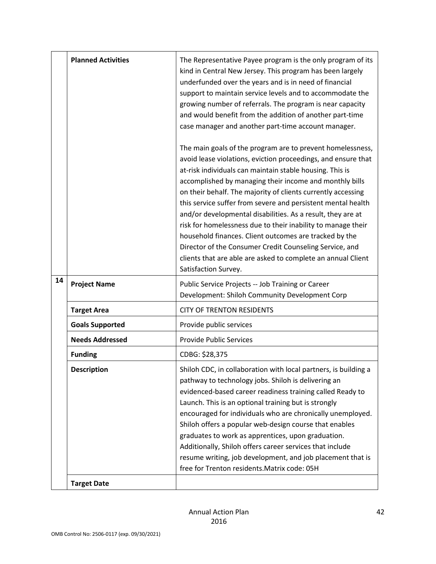|    | <b>Planned Activities</b> | The Representative Payee program is the only program of its<br>kind in Central New Jersey. This program has been largely<br>underfunded over the years and is in need of financial<br>support to maintain service levels and to accommodate the<br>growing number of referrals. The program is near capacity<br>and would benefit from the addition of another part-time<br>case manager and another part-time account manager.<br>The main goals of the program are to prevent homelessness,<br>avoid lease violations, eviction proceedings, and ensure that<br>at-risk individuals can maintain stable housing. This is<br>accomplished by managing their income and monthly bills<br>on their behalf. The majority of clients currently accessing<br>this service suffer from severe and persistent mental health<br>and/or developmental disabilities. As a result, they are at<br>risk for homelessness due to their inability to manage their<br>household finances. Client outcomes are tracked by the<br>Director of the Consumer Credit Counseling Service, and<br>clients that are able are asked to complete an annual Client<br>Satisfaction Survey. |
|----|---------------------------|-------------------------------------------------------------------------------------------------------------------------------------------------------------------------------------------------------------------------------------------------------------------------------------------------------------------------------------------------------------------------------------------------------------------------------------------------------------------------------------------------------------------------------------------------------------------------------------------------------------------------------------------------------------------------------------------------------------------------------------------------------------------------------------------------------------------------------------------------------------------------------------------------------------------------------------------------------------------------------------------------------------------------------------------------------------------------------------------------------------------------------------------------------------------|
| 14 | <b>Project Name</b>       | Public Service Projects -- Job Training or Career<br>Development: Shiloh Community Development Corp                                                                                                                                                                                                                                                                                                                                                                                                                                                                                                                                                                                                                                                                                                                                                                                                                                                                                                                                                                                                                                                               |
|    | <b>Target Area</b>        | <b>CITY OF TRENTON RESIDENTS</b>                                                                                                                                                                                                                                                                                                                                                                                                                                                                                                                                                                                                                                                                                                                                                                                                                                                                                                                                                                                                                                                                                                                                  |
|    | <b>Goals Supported</b>    | Provide public services                                                                                                                                                                                                                                                                                                                                                                                                                                                                                                                                                                                                                                                                                                                                                                                                                                                                                                                                                                                                                                                                                                                                           |
|    | <b>Needs Addressed</b>    | <b>Provide Public Services</b>                                                                                                                                                                                                                                                                                                                                                                                                                                                                                                                                                                                                                                                                                                                                                                                                                                                                                                                                                                                                                                                                                                                                    |
|    | <b>Funding</b>            | CDBG: \$28,375                                                                                                                                                                                                                                                                                                                                                                                                                                                                                                                                                                                                                                                                                                                                                                                                                                                                                                                                                                                                                                                                                                                                                    |
|    | <b>Description</b>        | Shiloh CDC, in collaboration with local partners, is building a<br>pathway to technology jobs. Shiloh is delivering an<br>evidenced-based career readiness training called Ready to<br>Launch. This is an optional training but is strongly<br>encouraged for individuals who are chronically unemployed.<br>Shiloh offers a popular web-design course that enables<br>graduates to work as apprentices, upon graduation.<br>Additionally, Shiloh offers career services that include<br>resume writing, job development, and job placement that is<br>free for Trenton residents. Matrix code: 05H                                                                                                                                                                                                                                                                                                                                                                                                                                                                                                                                                               |
|    | <b>Target Date</b>        |                                                                                                                                                                                                                                                                                                                                                                                                                                                                                                                                                                                                                                                                                                                                                                                                                                                                                                                                                                                                                                                                                                                                                                   |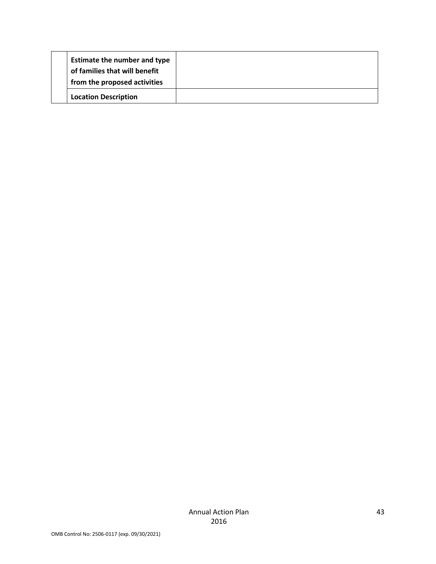| <b>Estimate the number and type</b><br>of families that will benefit<br>from the proposed activities |  |
|------------------------------------------------------------------------------------------------------|--|
| <b>Location Description</b>                                                                          |  |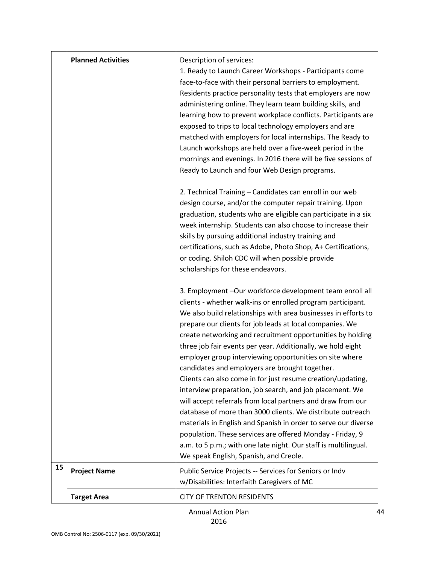|    | <b>Planned Activities</b> | Description of services:<br>1. Ready to Launch Career Workshops - Participants come<br>face-to-face with their personal barriers to employment.<br>Residents practice personality tests that employers are now<br>administering online. They learn team building skills, and<br>learning how to prevent workplace conflicts. Participants are<br>exposed to trips to local technology employers and are<br>matched with employers for local internships. The Ready to<br>Launch workshops are held over a five-week period in the<br>mornings and evenings. In 2016 there will be five sessions of<br>Ready to Launch and four Web Design programs.                                                                                                                                                                                                                                                                                                                                                 |
|----|---------------------------|-----------------------------------------------------------------------------------------------------------------------------------------------------------------------------------------------------------------------------------------------------------------------------------------------------------------------------------------------------------------------------------------------------------------------------------------------------------------------------------------------------------------------------------------------------------------------------------------------------------------------------------------------------------------------------------------------------------------------------------------------------------------------------------------------------------------------------------------------------------------------------------------------------------------------------------------------------------------------------------------------------|
|    |                           | 2. Technical Training - Candidates can enroll in our web<br>design course, and/or the computer repair training. Upon<br>graduation, students who are eligible can participate in a six<br>week internship. Students can also choose to increase their<br>skills by pursuing additional industry training and<br>certifications, such as Adobe, Photo Shop, A+ Certifications,<br>or coding. Shiloh CDC will when possible provide<br>scholarships for these endeavors.                                                                                                                                                                                                                                                                                                                                                                                                                                                                                                                              |
|    |                           | 3. Employment -Our workforce development team enroll all<br>clients - whether walk-ins or enrolled program participant.<br>We also build relationships with area businesses in efforts to<br>prepare our clients for job leads at local companies. We<br>create networking and recruitment opportunities by holding<br>three job fair events per year. Additionally, we hold eight<br>employer group interviewing opportunities on site where<br>candidates and employers are brought together.<br>Clients can also come in for just resume creation/updating,<br>interview preparation, job search, and job placement. We<br>will accept referrals from local partners and draw from our<br>database of more than 3000 clients. We distribute outreach<br>materials in English and Spanish in order to serve our diverse<br>population. These services are offered Monday - Friday, 9<br>a.m. to 5 p.m.; with one late night. Our staff is multilingual.<br>We speak English, Spanish, and Creole. |
| 15 | <b>Project Name</b>       | Public Service Projects -- Services for Seniors or Indv<br>w/Disabilities: Interfaith Caregivers of MC                                                                                                                                                                                                                                                                                                                                                                                                                                                                                                                                                                                                                                                                                                                                                                                                                                                                                              |
|    | <b>Target Area</b>        | <b>CITY OF TRENTON RESIDENTS</b>                                                                                                                                                                                                                                                                                                                                                                                                                                                                                                                                                                                                                                                                                                                                                                                                                                                                                                                                                                    |

Annual Action Plan 2016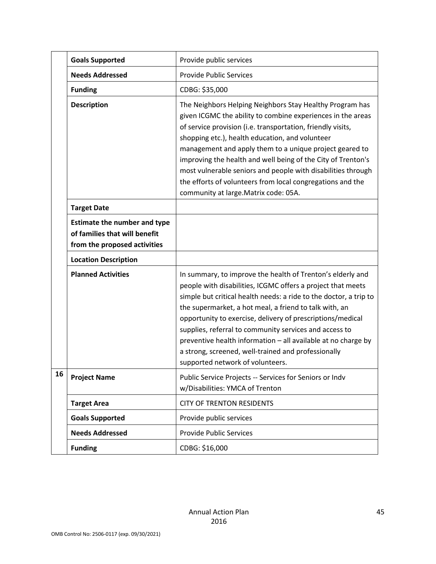|    | <b>Goals Supported</b>                                                                               | Provide public services                                                                                                                                                                                                                                                                                                                                                                                                                                                                                                                      |
|----|------------------------------------------------------------------------------------------------------|----------------------------------------------------------------------------------------------------------------------------------------------------------------------------------------------------------------------------------------------------------------------------------------------------------------------------------------------------------------------------------------------------------------------------------------------------------------------------------------------------------------------------------------------|
|    | <b>Needs Addressed</b>                                                                               | <b>Provide Public Services</b>                                                                                                                                                                                                                                                                                                                                                                                                                                                                                                               |
|    | <b>Funding</b>                                                                                       | CDBG: \$35,000                                                                                                                                                                                                                                                                                                                                                                                                                                                                                                                               |
|    | <b>Description</b>                                                                                   | The Neighbors Helping Neighbors Stay Healthy Program has<br>given ICGMC the ability to combine experiences in the areas<br>of service provision (i.e. transportation, friendly visits,<br>shopping etc.), health education, and volunteer<br>management and apply them to a unique project geared to<br>improving the health and well being of the City of Trenton's<br>most vulnerable seniors and people with disabilities through<br>the efforts of volunteers from local congregations and the<br>community at large. Matrix code: 05A.  |
|    | <b>Target Date</b>                                                                                   |                                                                                                                                                                                                                                                                                                                                                                                                                                                                                                                                              |
|    | <b>Estimate the number and type</b><br>of families that will benefit<br>from the proposed activities |                                                                                                                                                                                                                                                                                                                                                                                                                                                                                                                                              |
|    | <b>Location Description</b>                                                                          |                                                                                                                                                                                                                                                                                                                                                                                                                                                                                                                                              |
|    | <b>Planned Activities</b>                                                                            | In summary, to improve the health of Trenton's elderly and<br>people with disabilities, ICGMC offers a project that meets<br>simple but critical health needs: a ride to the doctor, a trip to<br>the supermarket, a hot meal, a friend to talk with, an<br>opportunity to exercise, delivery of prescriptions/medical<br>supplies, referral to community services and access to<br>preventive health information - all available at no charge by<br>a strong, screened, well-trained and professionally<br>supported network of volunteers. |
| 16 | <b>Project Name</b>                                                                                  | Public Service Projects -- Services for Seniors or Indv<br>w/Disabilities: YMCA of Trenton                                                                                                                                                                                                                                                                                                                                                                                                                                                   |
|    | <b>Target Area</b>                                                                                   | <b>CITY OF TRENTON RESIDENTS</b>                                                                                                                                                                                                                                                                                                                                                                                                                                                                                                             |
|    | <b>Goals Supported</b>                                                                               | Provide public services                                                                                                                                                                                                                                                                                                                                                                                                                                                                                                                      |
|    | <b>Needs Addressed</b>                                                                               | <b>Provide Public Services</b>                                                                                                                                                                                                                                                                                                                                                                                                                                                                                                               |
|    | <b>Funding</b>                                                                                       | CDBG: \$16,000                                                                                                                                                                                                                                                                                                                                                                                                                                                                                                                               |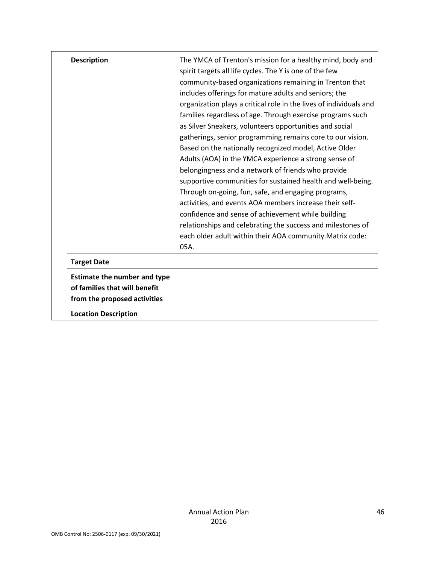| <b>Description</b>                                                                                   | The YMCA of Trenton's mission for a healthy mind, body and<br>spirit targets all life cycles. The Y is one of the few<br>community-based organizations remaining in Trenton that<br>includes offerings for mature adults and seniors; the<br>organization plays a critical role in the lives of individuals and<br>families regardless of age. Through exercise programs such<br>as Silver Sneakers, volunteers opportunities and social<br>gatherings, senior programming remains core to our vision.<br>Based on the nationally recognized model, Active Older<br>Adults (AOA) in the YMCA experience a strong sense of<br>belongingness and a network of friends who provide<br>supportive communities for sustained health and well-being.<br>Through on-going, fun, safe, and engaging programs,<br>activities, and events AOA members increase their self-<br>confidence and sense of achievement while building<br>relationships and celebrating the success and milestones of<br>each older adult within their AOA community. Matrix code:<br>$05A$ . |
|------------------------------------------------------------------------------------------------------|---------------------------------------------------------------------------------------------------------------------------------------------------------------------------------------------------------------------------------------------------------------------------------------------------------------------------------------------------------------------------------------------------------------------------------------------------------------------------------------------------------------------------------------------------------------------------------------------------------------------------------------------------------------------------------------------------------------------------------------------------------------------------------------------------------------------------------------------------------------------------------------------------------------------------------------------------------------------------------------------------------------------------------------------------------------|
| <b>Target Date</b>                                                                                   |                                                                                                                                                                                                                                                                                                                                                                                                                                                                                                                                                                                                                                                                                                                                                                                                                                                                                                                                                                                                                                                               |
| <b>Estimate the number and type</b><br>of families that will benefit<br>from the proposed activities |                                                                                                                                                                                                                                                                                                                                                                                                                                                                                                                                                                                                                                                                                                                                                                                                                                                                                                                                                                                                                                                               |
| <b>Location Description</b>                                                                          |                                                                                                                                                                                                                                                                                                                                                                                                                                                                                                                                                                                                                                                                                                                                                                                                                                                                                                                                                                                                                                                               |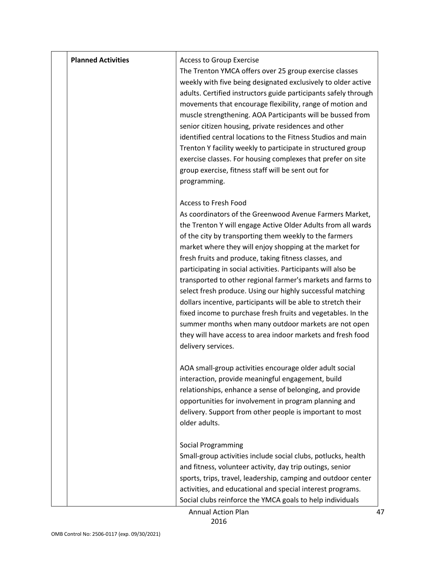| <b>Planned Activities</b> | <b>Access to Group Exercise</b><br>The Trenton YMCA offers over 25 group exercise classes<br>weekly with five being designated exclusively to older active<br>adults. Certified instructors guide participants safely through<br>movements that encourage flexibility, range of motion and<br>muscle strengthening. AOA Participants will be bussed from<br>senior citizen housing, private residences and other<br>identified central locations to the Fitness Studios and main<br>Trenton Y facility weekly to participate in structured group<br>exercise classes. For housing complexes that prefer on site<br>group exercise, fitness staff will be sent out for<br>programming.                                                                                                                            |
|---------------------------|------------------------------------------------------------------------------------------------------------------------------------------------------------------------------------------------------------------------------------------------------------------------------------------------------------------------------------------------------------------------------------------------------------------------------------------------------------------------------------------------------------------------------------------------------------------------------------------------------------------------------------------------------------------------------------------------------------------------------------------------------------------------------------------------------------------|
|                           | <b>Access to Fresh Food</b><br>As coordinators of the Greenwood Avenue Farmers Market,<br>the Trenton Y will engage Active Older Adults from all wards<br>of the city by transporting them weekly to the farmers<br>market where they will enjoy shopping at the market for<br>fresh fruits and produce, taking fitness classes, and<br>participating in social activities. Participants will also be<br>transported to other regional farmer's markets and farms to<br>select fresh produce. Using our highly successful matching<br>dollars incentive, participants will be able to stretch their<br>fixed income to purchase fresh fruits and vegetables. In the<br>summer months when many outdoor markets are not open<br>they will have access to area indoor markets and fresh food<br>delivery services. |
|                           | AOA small-group activities encourage older adult social<br>interaction, provide meaningful engagement, build<br>relationships, enhance a sense of belonging, and provide<br>opportunities for involvement in program planning and<br>delivery. Support from other people is important to most<br>older adults.                                                                                                                                                                                                                                                                                                                                                                                                                                                                                                   |
|                           | <b>Social Programming</b><br>Small-group activities include social clubs, potlucks, health<br>and fitness, volunteer activity, day trip outings, senior<br>sports, trips, travel, leadership, camping and outdoor center<br>activities, and educational and special interest programs.<br>Social clubs reinforce the YMCA goals to help individuals                                                                                                                                                                                                                                                                                                                                                                                                                                                              |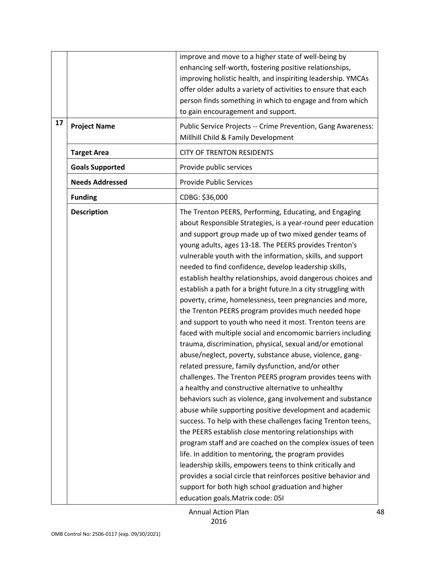|    |                        | improve and move to a higher state of well-being by<br>enhancing self-worth, fostering positive relationships,<br>improving holistic health, and inspiriting leadership. YMCAs<br>offer older adults a variety of activities to ensure that each<br>person finds something in which to engage and from which<br>to gain encouragement and support.                                                                                                                                                                                                                                                                                                                                                                                                                                                                                                                                                                                                                                                                                                                                                                                                                                                                                                                                                                                                                                                                                                                                                                                                                                                                                                         |
|----|------------------------|------------------------------------------------------------------------------------------------------------------------------------------------------------------------------------------------------------------------------------------------------------------------------------------------------------------------------------------------------------------------------------------------------------------------------------------------------------------------------------------------------------------------------------------------------------------------------------------------------------------------------------------------------------------------------------------------------------------------------------------------------------------------------------------------------------------------------------------------------------------------------------------------------------------------------------------------------------------------------------------------------------------------------------------------------------------------------------------------------------------------------------------------------------------------------------------------------------------------------------------------------------------------------------------------------------------------------------------------------------------------------------------------------------------------------------------------------------------------------------------------------------------------------------------------------------------------------------------------------------------------------------------------------------|
| 17 | <b>Project Name</b>    | Public Service Projects -- Crime Prevention, Gang Awareness:<br>Millhill Child & Family Development                                                                                                                                                                                                                                                                                                                                                                                                                                                                                                                                                                                                                                                                                                                                                                                                                                                                                                                                                                                                                                                                                                                                                                                                                                                                                                                                                                                                                                                                                                                                                        |
|    | <b>Target Area</b>     | <b>CITY OF TRENTON RESIDENTS</b>                                                                                                                                                                                                                                                                                                                                                                                                                                                                                                                                                                                                                                                                                                                                                                                                                                                                                                                                                                                                                                                                                                                                                                                                                                                                                                                                                                                                                                                                                                                                                                                                                           |
|    | <b>Goals Supported</b> | Provide public services                                                                                                                                                                                                                                                                                                                                                                                                                                                                                                                                                                                                                                                                                                                                                                                                                                                                                                                                                                                                                                                                                                                                                                                                                                                                                                                                                                                                                                                                                                                                                                                                                                    |
|    | <b>Needs Addressed</b> | <b>Provide Public Services</b>                                                                                                                                                                                                                                                                                                                                                                                                                                                                                                                                                                                                                                                                                                                                                                                                                                                                                                                                                                                                                                                                                                                                                                                                                                                                                                                                                                                                                                                                                                                                                                                                                             |
|    | <b>Funding</b>         | CDBG: \$36,000                                                                                                                                                                                                                                                                                                                                                                                                                                                                                                                                                                                                                                                                                                                                                                                                                                                                                                                                                                                                                                                                                                                                                                                                                                                                                                                                                                                                                                                                                                                                                                                                                                             |
|    | <b>Description</b>     | The Trenton PEERS, Performing, Educating, and Engaging<br>about Responsible Strategies, is a year-round peer education<br>and support group made up of two mixed gender teams of<br>young adults, ages 13-18. The PEERS provides Trenton's<br>vulnerable youth with the information, skills, and support<br>needed to find confidence, develop leadership skills,<br>establish healthy relationships, avoid dangerous choices and<br>establish a path for a bright future. In a city struggling with<br>poverty, crime, homelessness, teen pregnancies and more,<br>the Trenton PEERS program provides much needed hope<br>and support to youth who need it most. Trenton teens are<br>faced with multiple social and encomomic barriers including<br>trauma, discrimination, physical, sexual and/or emotional<br>abuse/neglect, poverty, substance abuse, violence, gang-<br>related pressure, family dysfunction, and/or other<br>challenges. The Trenton PEERS program provides teens with<br>a healthy and constructive alternative to unhealthy<br>behaviors such as violence, gang involvement and substance<br>abuse while supporting positive development and academic<br>success. To help with these challenges facing Trenton teens,<br>the PEERS establish close mentoring relationships with<br>program staff and are coached on the complex issues of teen<br>life. In addition to mentoring, the program provides<br>leadership skills, empowers teens to think critically and<br>provides a social circle that reinforces positive behavior and<br>support for both high school graduation and higher<br>education goals. Matrix code: 051 |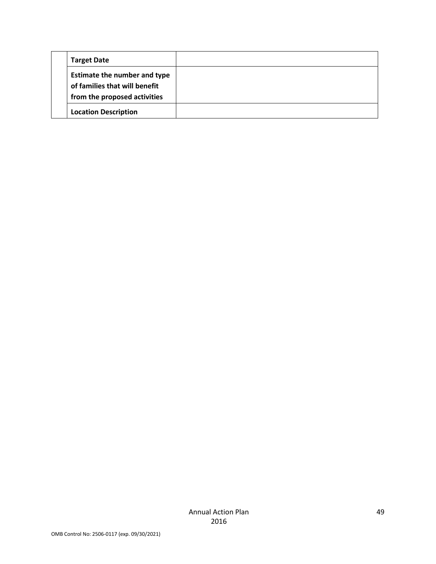| <b>Target Date</b>                                                                                   |  |
|------------------------------------------------------------------------------------------------------|--|
| <b>Estimate the number and type</b><br>of families that will benefit<br>from the proposed activities |  |
| <b>Location Description</b>                                                                          |  |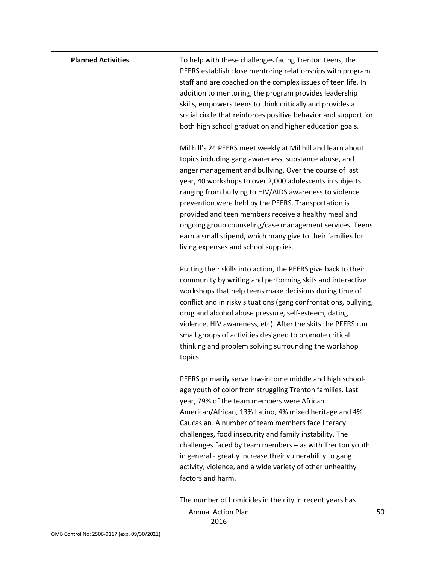| <b>Planned Activities</b> | To help with these challenges facing Trenton teens, the<br>PEERS establish close mentoring relationships with program<br>staff and are coached on the complex issues of teen life. In<br>addition to mentoring, the program provides leadership<br>skills, empowers teens to think critically and provides a<br>social circle that reinforces positive behavior and support for<br>both high school graduation and higher education goals.                                                                                                                                               |
|---------------------------|------------------------------------------------------------------------------------------------------------------------------------------------------------------------------------------------------------------------------------------------------------------------------------------------------------------------------------------------------------------------------------------------------------------------------------------------------------------------------------------------------------------------------------------------------------------------------------------|
|                           | Millhill's 24 PEERS meet weekly at Millhill and learn about<br>topics including gang awareness, substance abuse, and<br>anger management and bullying. Over the course of last<br>year, 40 workshops to over 2,000 adolescents in subjects<br>ranging from bullying to HIV/AIDS awareness to violence<br>prevention were held by the PEERS. Transportation is<br>provided and teen members receive a healthy meal and<br>ongoing group counseling/case management services. Teens<br>earn a small stipend, which many give to their families for<br>living expenses and school supplies. |
|                           | Putting their skills into action, the PEERS give back to their<br>community by writing and performing skits and interactive<br>workshops that help teens make decisions during time of<br>conflict and in risky situations (gang confrontations, bullying,<br>drug and alcohol abuse pressure, self-esteem, dating<br>violence, HIV awareness, etc). After the skits the PEERS run<br>small groups of activities designed to promote critical<br>thinking and problem solving surrounding the workshop<br>topics.                                                                        |
|                           | PEERS primarily serve low-income middle and high school-<br>age youth of color from struggling Trenton families. Last<br>year, 79% of the team members were African<br>American/African, 13% Latino, 4% mixed heritage and 4%<br>Caucasian. A number of team members face literacy<br>challenges, food insecurity and family instability. The<br>challenges faced by team members - as with Trenton youth<br>in general - greatly increase their vulnerability to gang<br>activity, violence, and a wide variety of other unhealthy<br>factors and harm.                                 |
|                           | The number of homicides in the city in recent years has                                                                                                                                                                                                                                                                                                                                                                                                                                                                                                                                  |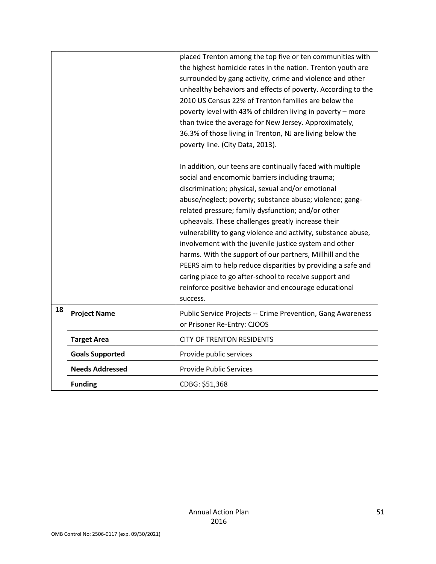|    |                        | placed Trenton among the top five or ten communities with<br>the highest homicide rates in the nation. Trenton youth are<br>surrounded by gang activity, crime and violence and other<br>unhealthy behaviors and effects of poverty. According to the<br>2010 US Census 22% of Trenton families are below the<br>poverty level with 43% of children living in poverty - more<br>than twice the average for New Jersey. Approximately,<br>36.3% of those living in Trenton, NJ are living below the<br>poverty line. (City Data, 2013).<br>In addition, our teens are continually faced with multiple<br>social and encomomic barriers including trauma; |  |
|----|------------------------|---------------------------------------------------------------------------------------------------------------------------------------------------------------------------------------------------------------------------------------------------------------------------------------------------------------------------------------------------------------------------------------------------------------------------------------------------------------------------------------------------------------------------------------------------------------------------------------------------------------------------------------------------------|--|
|    |                        | discrimination; physical, sexual and/or emotional<br>abuse/neglect; poverty; substance abuse; violence; gang-<br>related pressure; family dysfunction; and/or other                                                                                                                                                                                                                                                                                                                                                                                                                                                                                     |  |
|    |                        | upheavals. These challenges greatly increase their<br>vulnerability to gang violence and activity, substance abuse,<br>involvement with the juvenile justice system and other                                                                                                                                                                                                                                                                                                                                                                                                                                                                           |  |
|    |                        | harms. With the support of our partners, Millhill and the                                                                                                                                                                                                                                                                                                                                                                                                                                                                                                                                                                                               |  |
|    |                        | PEERS aim to help reduce disparities by providing a safe and<br>caring place to go after-school to receive support and                                                                                                                                                                                                                                                                                                                                                                                                                                                                                                                                  |  |
|    |                        | reinforce positive behavior and encourage educational<br>success.                                                                                                                                                                                                                                                                                                                                                                                                                                                                                                                                                                                       |  |
| 18 | <b>Project Name</b>    | Public Service Projects -- Crime Prevention, Gang Awareness<br>or Prisoner Re-Entry: CJOOS                                                                                                                                                                                                                                                                                                                                                                                                                                                                                                                                                              |  |
|    | <b>Target Area</b>     | <b>CITY OF TRENTON RESIDENTS</b>                                                                                                                                                                                                                                                                                                                                                                                                                                                                                                                                                                                                                        |  |
|    | <b>Goals Supported</b> | Provide public services                                                                                                                                                                                                                                                                                                                                                                                                                                                                                                                                                                                                                                 |  |
|    | <b>Needs Addressed</b> | <b>Provide Public Services</b>                                                                                                                                                                                                                                                                                                                                                                                                                                                                                                                                                                                                                          |  |
|    | <b>Funding</b>         | CDBG: \$51,368                                                                                                                                                                                                                                                                                                                                                                                                                                                                                                                                                                                                                                          |  |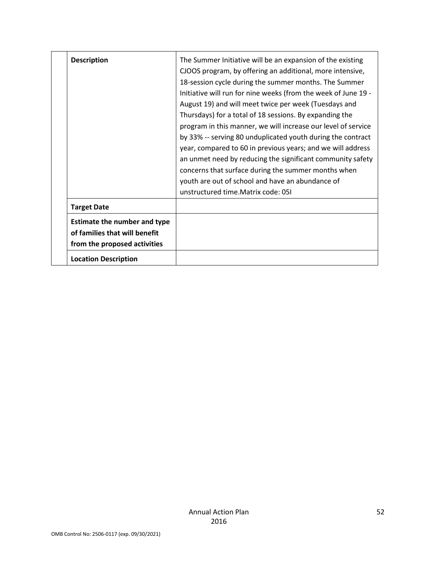| <b>Description</b>                                                                                   | The Summer Initiative will be an expansion of the existing<br>CJOOS program, by offering an additional, more intensive,<br>18-session cycle during the summer months. The Summer<br>Initiative will run for nine weeks (from the week of June 19 -<br>August 19) and will meet twice per week (Tuesdays and<br>Thursdays) for a total of 18 sessions. By expanding the<br>program in this manner, we will increase our level of service<br>by 33% -- serving 80 unduplicated youth during the contract<br>year, compared to 60 in previous years; and we will address<br>an unmet need by reducing the significant community safety<br>concerns that surface during the summer months when<br>youth are out of school and have an abundance of<br>unstructured time. Matrix code: 051 |
|------------------------------------------------------------------------------------------------------|---------------------------------------------------------------------------------------------------------------------------------------------------------------------------------------------------------------------------------------------------------------------------------------------------------------------------------------------------------------------------------------------------------------------------------------------------------------------------------------------------------------------------------------------------------------------------------------------------------------------------------------------------------------------------------------------------------------------------------------------------------------------------------------|
| <b>Target Date</b>                                                                                   |                                                                                                                                                                                                                                                                                                                                                                                                                                                                                                                                                                                                                                                                                                                                                                                       |
| <b>Estimate the number and type</b><br>of families that will benefit<br>from the proposed activities |                                                                                                                                                                                                                                                                                                                                                                                                                                                                                                                                                                                                                                                                                                                                                                                       |
| <b>Location Description</b>                                                                          |                                                                                                                                                                                                                                                                                                                                                                                                                                                                                                                                                                                                                                                                                                                                                                                       |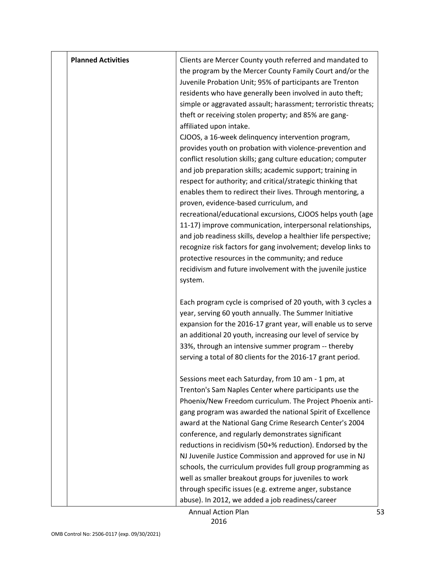| <b>Planned Activities</b> | Clients are Mercer County youth referred and mandated to<br>the program by the Mercer County Family Court and/or the<br>Juvenile Probation Unit; 95% of participants are Trenton<br>residents who have generally been involved in auto theft;<br>simple or aggravated assault; harassment; terroristic threats;<br>theft or receiving stolen property; and 85% are gang-<br>affiliated upon intake.<br>CJOOS, a 16-week delinquency intervention program,<br>provides youth on probation with violence-prevention and<br>conflict resolution skills; gang culture education; computer<br>and job preparation skills; academic support; training in<br>respect for authority; and critical/strategic thinking that<br>enables them to redirect their lives. Through mentoring, a<br>proven, evidence-based curriculum, and<br>recreational/educational excursions, CJOOS helps youth (age<br>11-17) improve communication, interpersonal relationships,<br>and job readiness skills, develop a healthier life perspective;<br>recognize risk factors for gang involvement; develop links to<br>protective resources in the community; and reduce<br>recidivism and future involvement with the juvenile justice<br>system. |
|---------------------------|---------------------------------------------------------------------------------------------------------------------------------------------------------------------------------------------------------------------------------------------------------------------------------------------------------------------------------------------------------------------------------------------------------------------------------------------------------------------------------------------------------------------------------------------------------------------------------------------------------------------------------------------------------------------------------------------------------------------------------------------------------------------------------------------------------------------------------------------------------------------------------------------------------------------------------------------------------------------------------------------------------------------------------------------------------------------------------------------------------------------------------------------------------------------------------------------------------------------------|
|                           | Each program cycle is comprised of 20 youth, with 3 cycles a<br>year, serving 60 youth annually. The Summer Initiative<br>expansion for the 2016-17 grant year, will enable us to serve<br>an additional 20 youth, increasing our level of service by<br>33%, through an intensive summer program -- thereby<br>serving a total of 80 clients for the 2016-17 grant period.                                                                                                                                                                                                                                                                                                                                                                                                                                                                                                                                                                                                                                                                                                                                                                                                                                               |
|                           | Sessions meet each Saturday, from 10 am - 1 pm, at<br>Trenton's Sam Naples Center where participants use the<br>Phoenix/New Freedom curriculum. The Project Phoenix anti-<br>gang program was awarded the national Spirit of Excellence<br>award at the National Gang Crime Research Center's 2004<br>conference, and regularly demonstrates significant<br>reductions in recidivism (50+% reduction). Endorsed by the<br>NJ Juvenile Justice Commission and approved for use in NJ<br>schools, the curriculum provides full group programming as<br>well as smaller breakout groups for juveniles to work<br>through specific issues (e.g. extreme anger, substance<br>abuse). In 2012, we added a job readiness/career                                                                                                                                                                                                                                                                                                                                                                                                                                                                                                  |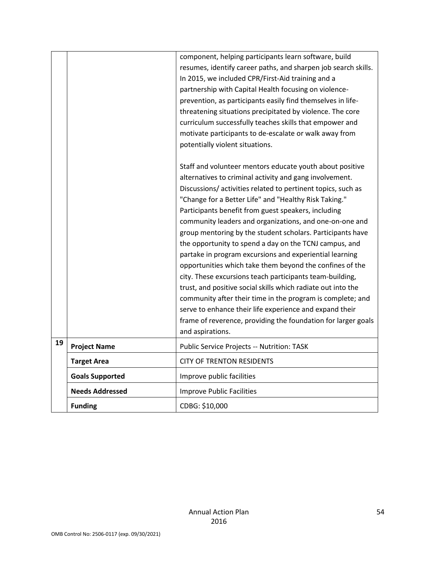|    |                        | component, helping participants learn software, build<br>resumes, identify career paths, and sharpen job search skills.<br>In 2015, we included CPR/First-Aid training and a<br>partnership with Capital Health focusing on violence-<br>prevention, as participants easily find themselves in life-<br>threatening situations precipitated by violence. The core<br>curriculum successfully teaches skills that empower and<br>motivate participants to de-escalate or walk away from<br>potentially violent situations.                                                                                                                                                                                                                                                                                                                                                                                                                              |
|----|------------------------|--------------------------------------------------------------------------------------------------------------------------------------------------------------------------------------------------------------------------------------------------------------------------------------------------------------------------------------------------------------------------------------------------------------------------------------------------------------------------------------------------------------------------------------------------------------------------------------------------------------------------------------------------------------------------------------------------------------------------------------------------------------------------------------------------------------------------------------------------------------------------------------------------------------------------------------------------------|
|    |                        | Staff and volunteer mentors educate youth about positive<br>alternatives to criminal activity and gang involvement.<br>Discussions/activities related to pertinent topics, such as<br>"Change for a Better Life" and "Healthy Risk Taking."<br>Participants benefit from guest speakers, including<br>community leaders and organizations, and one-on-one and<br>group mentoring by the student scholars. Participants have<br>the opportunity to spend a day on the TCNJ campus, and<br>partake in program excursions and experiential learning<br>opportunities which take them beyond the confines of the<br>city. These excursions teach participants team-building,<br>trust, and positive social skills which radiate out into the<br>community after their time in the program is complete; and<br>serve to enhance their life experience and expand their<br>frame of reverence, providing the foundation for larger goals<br>and aspirations. |
| 19 | <b>Project Name</b>    | Public Service Projects -- Nutrition: TASK                                                                                                                                                                                                                                                                                                                                                                                                                                                                                                                                                                                                                                                                                                                                                                                                                                                                                                             |
|    | <b>Target Area</b>     | <b>CITY OF TRENTON RESIDENTS</b>                                                                                                                                                                                                                                                                                                                                                                                                                                                                                                                                                                                                                                                                                                                                                                                                                                                                                                                       |
|    | <b>Goals Supported</b> | Improve public facilities                                                                                                                                                                                                                                                                                                                                                                                                                                                                                                                                                                                                                                                                                                                                                                                                                                                                                                                              |
|    | <b>Needs Addressed</b> | <b>Improve Public Facilities</b>                                                                                                                                                                                                                                                                                                                                                                                                                                                                                                                                                                                                                                                                                                                                                                                                                                                                                                                       |
|    | <b>Funding</b>         | CDBG: \$10,000                                                                                                                                                                                                                                                                                                                                                                                                                                                                                                                                                                                                                                                                                                                                                                                                                                                                                                                                         |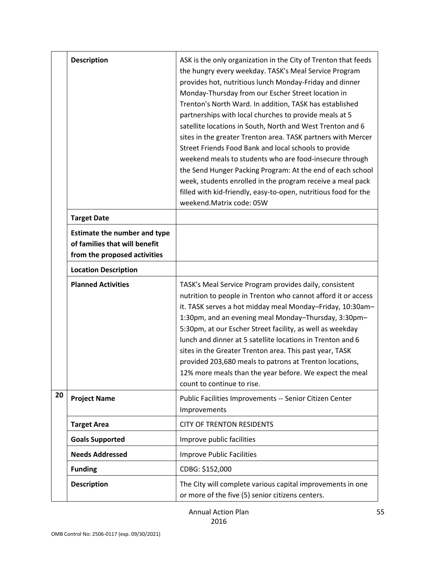|    | <b>Description</b>                                                                                   | ASK is the only organization in the City of Trenton that feeds<br>the hungry every weekday. TASK's Meal Service Program<br>provides hot, nutritious lunch Monday-Friday and dinner<br>Monday-Thursday from our Escher Street location in<br>Trenton's North Ward. In addition, TASK has established<br>partnerships with local churches to provide meals at 5<br>satellite locations in South, North and West Trenton and 6<br>sites in the greater Trenton area. TASK partners with Mercer<br>Street Friends Food Bank and local schools to provide<br>weekend meals to students who are food-insecure through<br>the Send Hunger Packing Program: At the end of each school<br>week, students enrolled in the program receive a meal pack<br>filled with kid-friendly, easy-to-open, nutritious food for the<br>weekend.Matrix code: 05W |
|----|------------------------------------------------------------------------------------------------------|--------------------------------------------------------------------------------------------------------------------------------------------------------------------------------------------------------------------------------------------------------------------------------------------------------------------------------------------------------------------------------------------------------------------------------------------------------------------------------------------------------------------------------------------------------------------------------------------------------------------------------------------------------------------------------------------------------------------------------------------------------------------------------------------------------------------------------------------|
|    | <b>Target Date</b>                                                                                   |                                                                                                                                                                                                                                                                                                                                                                                                                                                                                                                                                                                                                                                                                                                                                                                                                                            |
|    | <b>Estimate the number and type</b><br>of families that will benefit<br>from the proposed activities |                                                                                                                                                                                                                                                                                                                                                                                                                                                                                                                                                                                                                                                                                                                                                                                                                                            |
|    | <b>Location Description</b>                                                                          |                                                                                                                                                                                                                                                                                                                                                                                                                                                                                                                                                                                                                                                                                                                                                                                                                                            |
|    | <b>Planned Activities</b>                                                                            | TASK's Meal Service Program provides daily, consistent<br>nutrition to people in Trenton who cannot afford it or access<br>it. TASK serves a hot midday meal Monday-Friday, 10:30am-<br>1:30pm, and an evening meal Monday-Thursday, 3:30pm-<br>5:30pm, at our Escher Street facility, as well as weekday<br>lunch and dinner at 5 satellite locations in Trenton and 6<br>sites in the Greater Trenton area. This past year, TASK<br>provided 203,680 meals to patrons at Trenton locations,<br>12% more meals than the year before. We expect the meal<br>count to continue to rise.                                                                                                                                                                                                                                                     |
| 20 | <b>Project Name</b>                                                                                  | Public Facilities Improvements -- Senior Citizen Center<br>Improvements                                                                                                                                                                                                                                                                                                                                                                                                                                                                                                                                                                                                                                                                                                                                                                    |
|    | <b>Target Area</b>                                                                                   | <b>CITY OF TRENTON RESIDENTS</b>                                                                                                                                                                                                                                                                                                                                                                                                                                                                                                                                                                                                                                                                                                                                                                                                           |
|    | <b>Goals Supported</b>                                                                               | Improve public facilities                                                                                                                                                                                                                                                                                                                                                                                                                                                                                                                                                                                                                                                                                                                                                                                                                  |
|    | <b>Needs Addressed</b>                                                                               | <b>Improve Public Facilities</b>                                                                                                                                                                                                                                                                                                                                                                                                                                                                                                                                                                                                                                                                                                                                                                                                           |
|    | <b>Funding</b>                                                                                       | CDBG: \$152,000                                                                                                                                                                                                                                                                                                                                                                                                                                                                                                                                                                                                                                                                                                                                                                                                                            |
|    | <b>Description</b>                                                                                   | The City will complete various capital improvements in one<br>or more of the five (5) senior citizens centers.                                                                                                                                                                                                                                                                                                                                                                                                                                                                                                                                                                                                                                                                                                                             |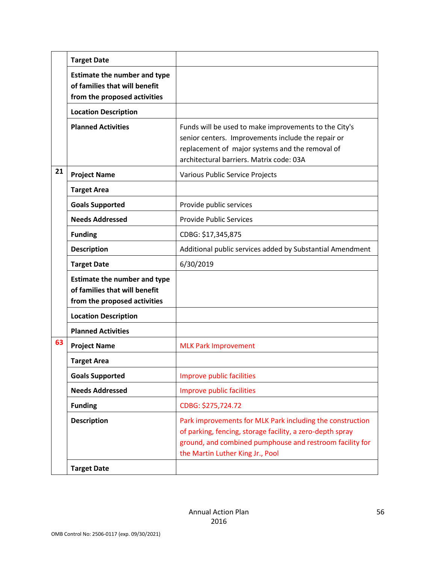|    | <b>Target Date</b>                                                                                   |                                                                                                                                                                                                                        |  |
|----|------------------------------------------------------------------------------------------------------|------------------------------------------------------------------------------------------------------------------------------------------------------------------------------------------------------------------------|--|
|    | <b>Estimate the number and type</b><br>of families that will benefit<br>from the proposed activities |                                                                                                                                                                                                                        |  |
|    | <b>Location Description</b>                                                                          |                                                                                                                                                                                                                        |  |
|    | <b>Planned Activities</b>                                                                            | Funds will be used to make improvements to the City's<br>senior centers. Improvements include the repair or<br>replacement of major systems and the removal of<br>architectural barriers. Matrix code: 03A             |  |
| 21 | <b>Project Name</b>                                                                                  | Various Public Service Projects                                                                                                                                                                                        |  |
|    | <b>Target Area</b>                                                                                   |                                                                                                                                                                                                                        |  |
|    | <b>Goals Supported</b>                                                                               | Provide public services                                                                                                                                                                                                |  |
|    | <b>Needs Addressed</b>                                                                               | <b>Provide Public Services</b>                                                                                                                                                                                         |  |
|    | <b>Funding</b>                                                                                       | CDBG: \$17,345,875                                                                                                                                                                                                     |  |
|    | <b>Description</b>                                                                                   | Additional public services added by Substantial Amendment                                                                                                                                                              |  |
|    | <b>Target Date</b>                                                                                   | 6/30/2019                                                                                                                                                                                                              |  |
|    | <b>Estimate the number and type</b><br>of families that will benefit<br>from the proposed activities |                                                                                                                                                                                                                        |  |
|    | <b>Location Description</b>                                                                          |                                                                                                                                                                                                                        |  |
|    | <b>Planned Activities</b>                                                                            |                                                                                                                                                                                                                        |  |
| 63 | <b>Project Name</b>                                                                                  | <b>MLK Park Improvement</b>                                                                                                                                                                                            |  |
|    | <b>Target Area</b>                                                                                   |                                                                                                                                                                                                                        |  |
|    | <b>Goals Supported</b>                                                                               | Improve public facilities                                                                                                                                                                                              |  |
|    | <b>Needs Addressed</b>                                                                               | Improve public facilities                                                                                                                                                                                              |  |
|    | <b>Funding</b>                                                                                       | CDBG: \$275,724.72                                                                                                                                                                                                     |  |
|    | <b>Description</b>                                                                                   | Park improvements for MLK Park including the construction<br>of parking, fencing, storage facility, a zero-depth spray<br>ground, and combined pumphouse and restroom facility for<br>the Martin Luther King Jr., Pool |  |
|    | <b>Target Date</b>                                                                                   |                                                                                                                                                                                                                        |  |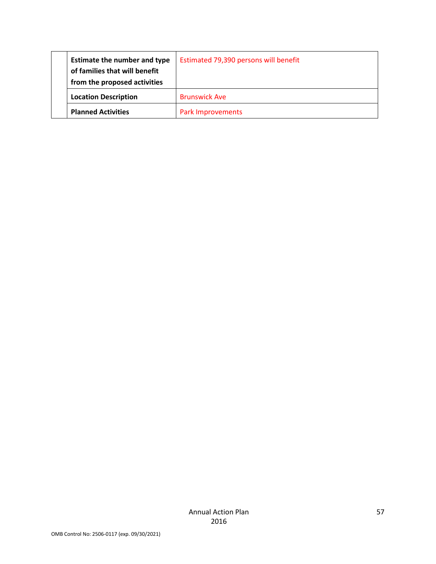| <b>Estimate the number and type</b><br>of families that will benefit<br>from the proposed activities | Estimated 79,390 persons will benefit |
|------------------------------------------------------------------------------------------------------|---------------------------------------|
| <b>Location Description</b>                                                                          | <b>Brunswick Ave</b>                  |
| <b>Planned Activities</b>                                                                            | <b>Park Improvements</b>              |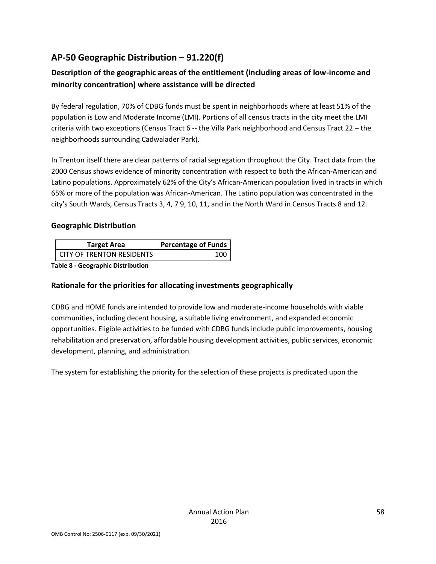## **AP-50 Geographic Distribution – 91.220(f)**

## **Description of the geographic areas of the entitlement (including areas of low-income and minority concentration) where assistance will be directed**

By federal regulation, 70% of CDBG funds must be spent in neighborhoods where at least 51% of the population is Low and Moderate Income (LMI). Portions of all census tracts in the city meet the LMI criteria with two exceptions (Census Tract 6 -- the Villa Park neighborhood and Census Tract 22 – the neighborhoods surrounding Cadwalader Park).

In Trenton itself there are clear patterns of racial segregation throughout the City. Tract data from the 2000 Census shows evidence of minority concentration with respect to both the African-American and Latino populations. Approximately 62% of the City's African-American population lived in tracts in which 65% or more of the population was African-American. The Latino population was concentrated in the city's South Wards, Census Tracts 3, 4, 7 9, 10, 11, and in the North Ward in Census Tracts 8 and 12.

#### **Geographic Distribution**

| <b>Target Area</b>        | Percentage of Funds |
|---------------------------|---------------------|
| CITY OF TRENTON RESIDENTS | 100                 |

**Table 8 - Geographic Distribution** 

### **Rationale for the priorities for allocating investments geographically**

CDBG and HOME funds are intended to provide low and moderate-income households with viable communities, including decent housing, a suitable living environment, and expanded economic opportunities. Eligible activities to be funded with CDBG funds include public improvements, housing rehabilitation and preservation, affordable housing development activities, public services, economic development, planning, and administration.

The system for establishing the priority for the selection of these projects is predicated upon the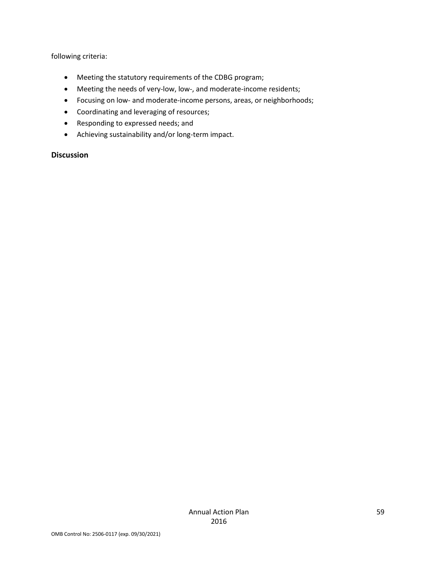following criteria:

- Meeting the statutory requirements of the CDBG program;
- Meeting the needs of very-low, low-, and moderate-income residents;
- Focusing on low- and moderate-income persons, areas, or neighborhoods;
- Coordinating and leveraging of resources;
- Responding to expressed needs; and
- Achieving sustainability and/or long-term impact.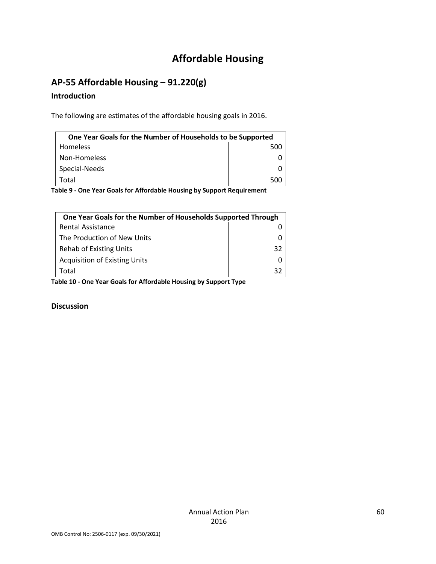# **Affordable Housing**

## **AP-55 Affordable Housing – 91.220(g)**

#### **Introduction**

The following are estimates of the affordable housing goals in 2016.

| One Year Goals for the Number of Households to be Supported              |     |  |
|--------------------------------------------------------------------------|-----|--|
| Homeless                                                                 | 500 |  |
| Non-Homeless                                                             |     |  |
| Special-Needs                                                            |     |  |
| Total                                                                    | 500 |  |
| ishta A. Ana Vaan Caala fan Affandahta Harreina hr: Crimpant Damrinsmant |     |  |

**Table 9 - One Year Goals for Affordable Housing by Support Requirement**

|                                                                  | One Year Goals for the Number of Households Supported Through |    |  |
|------------------------------------------------------------------|---------------------------------------------------------------|----|--|
|                                                                  | <b>Rental Assistance</b>                                      |    |  |
|                                                                  | The Production of New Units                                   |    |  |
|                                                                  | <b>Rehab of Existing Units</b>                                | 32 |  |
|                                                                  | <b>Acquisition of Existing Units</b>                          |    |  |
|                                                                  | Total<br>32                                                   |    |  |
| Table 10 - One Year Goals for Affordable Housing by Support Type |                                                               |    |  |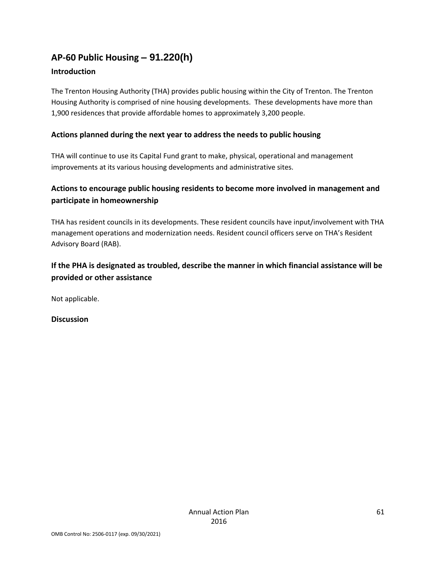# **AP-60 Public Housing** *–* **91.220(h)**

### **Introduction**

The Trenton Housing Authority (THA) provides public housing within the City of Trenton. The Trenton Housing Authority is comprised of nine housing developments. These developments have more than 1,900 residences that provide affordable homes to approximately 3,200 people.

### **Actions planned during the next year to address the needs to public housing**

THA will continue to use its Capital Fund grant to make, physical, operational and management improvements at its various housing developments and administrative sites.

## **Actions to encourage public housing residents to become more involved in management and participate in homeownership**

THA has resident councils in its developments. These resident councils have input/involvement with THA management operations and modernization needs. Resident council officers serve on THA's Resident Advisory Board (RAB).

## **If the PHA is designated as troubled, describe the manner in which financial assistance will be provided or other assistance**

Not applicable.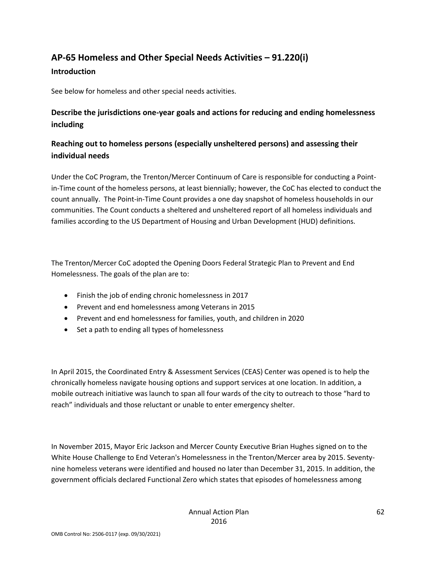## **AP-65 Homeless and Other Special Needs Activities – 91.220(i)**

#### **Introduction**

See below for homeless and other special needs activities.

## **Describe the jurisdictions one-year goals and actions for reducing and ending homelessness including**

## **Reaching out to homeless persons (especially unsheltered persons) and assessing their individual needs**

Under the CoC Program, the Trenton/Mercer Continuum of Care is responsible for conducting a Pointin-Time count of the homeless persons, at least biennially; however, the CoC has elected to conduct the count annually. The Point-in-Time Count provides a one day snapshot of homeless households in our communities. The Count conducts a sheltered and unsheltered report of all homeless individuals and families according to the US Department of Housing and Urban Development (HUD) definitions.

The Trenton/Mercer CoC adopted the Opening Doors Federal Strategic Plan to Prevent and End Homelessness. The goals of the plan are to:

- Finish the job of ending chronic homelessness in 2017
- Prevent and end homelessness among Veterans in 2015
- Prevent and end homelessness for families, youth, and children in 2020
- Set a path to ending all types of homelessness

In April 2015, the Coordinated Entry & Assessment Services (CEAS) Center was opened is to help the chronically homeless navigate housing options and support services at one location. In addition, a mobile outreach initiative was launch to span all four wards of the city to outreach to those "hard to reach" individuals and those reluctant or unable to enter emergency shelter.

In November 2015, Mayor Eric Jackson and Mercer County Executive Brian Hughes signed on to the White House Challenge to End Veteran's Homelessness in the Trenton/Mercer area by 2015. Seventynine homeless veterans were identified and housed no later than December 31, 2015. In addition, the government officials declared Functional Zero which states that episodes of homelessness among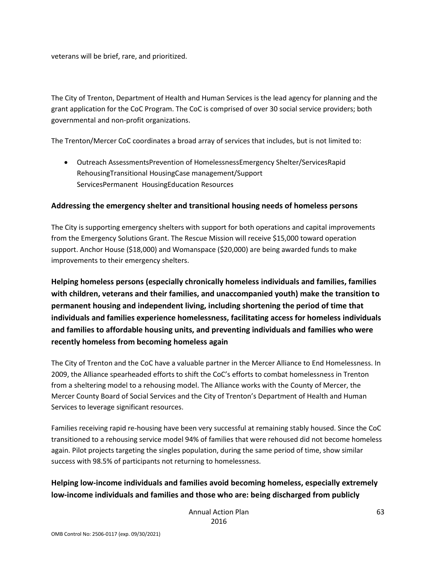veterans will be brief, rare, and prioritized.

The City of Trenton, Department of Health and Human Services is the lead agency for planning and the grant application for the CoC Program. The CoC is comprised of over 30 social service providers; both governmental and non-profit organizations.

The Trenton/Mercer CoC coordinates a broad array of services that includes, but is not limited to:

• Outreach AssessmentsPrevention of HomelessnessEmergency Shelter/ServicesRapid RehousingTransitional HousingCase management/Support ServicesPermanent HousingEducation Resources

#### **Addressing the emergency shelter and transitional housing needs of homeless persons**

The City is supporting emergency shelters with support for both operations and capital improvements from the Emergency Solutions Grant. The Rescue Mission will receive \$15,000 toward operation support. Anchor House (\$18,000) and Womanspace (\$20,000) are being awarded funds to make improvements to their emergency shelters.

**Helping homeless persons (especially chronically homeless individuals and families, families with children, veterans and their families, and unaccompanied youth) make the transition to permanent housing and independent living, including shortening the period of time that individuals and families experience homelessness, facilitating access for homeless individuals and families to affordable housing units, and preventing individuals and families who were recently homeless from becoming homeless again**

The City of Trenton and the CoC have a valuable partner in the Mercer Alliance to End Homelessness. In 2009, the Alliance spearheaded efforts to shift the CoC's efforts to combat homelessness in Trenton from a sheltering model to a rehousing model. The Alliance works with the County of Mercer, the Mercer County Board of Social Services and the City of Trenton's Department of Health and Human Services to leverage significant resources.

Families receiving rapid re-housing have been very successful at remaining stably housed. Since the CoC transitioned to a rehousing service model 94% of families that were rehoused did not become homeless again. Pilot projects targeting the singles population, during the same period of time, show similar success with 98.5% of participants not returning to homelessness.

### **Helping low-income individuals and families avoid becoming homeless, especially extremely low-income individuals and families and those who are: being discharged from publicly**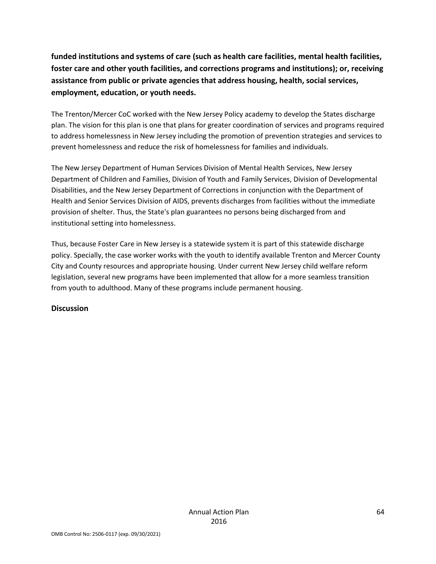**funded institutions and systems of care (such as health care facilities, mental health facilities, foster care and other youth facilities, and corrections programs and institutions); or, receiving assistance from public or private agencies that address housing, health, social services, employment, education, or youth needs.**

The Trenton/Mercer CoC worked with the New Jersey Policy academy to develop the States discharge plan. The vision for this plan is one that plans for greater coordination of services and programs required to address homelessness in New Jersey including the promotion of prevention strategies and services to prevent homelessness and reduce the risk of homelessness for families and individuals.

The New Jersey Department of Human Services Division of Mental Health Services, New Jersey Department of Children and Families, Division of Youth and Family Services, Division of Developmental Disabilities, and the New Jersey Department of Corrections in conjunction with the Department of Health and Senior Services Division of AIDS, prevents discharges from facilities without the immediate provision of shelter. Thus, the State's plan guarantees no persons being discharged from and institutional setting into homelessness.

Thus, because Foster Care in New Jersey is a statewide system it is part of this statewide discharge policy. Specially, the case worker works with the youth to identify available Trenton and Mercer County City and County resources and appropriate housing. Under current New Jersey child welfare reform legislation, several new programs have been implemented that allow for a more seamless transition from youth to adulthood. Many of these programs include permanent housing.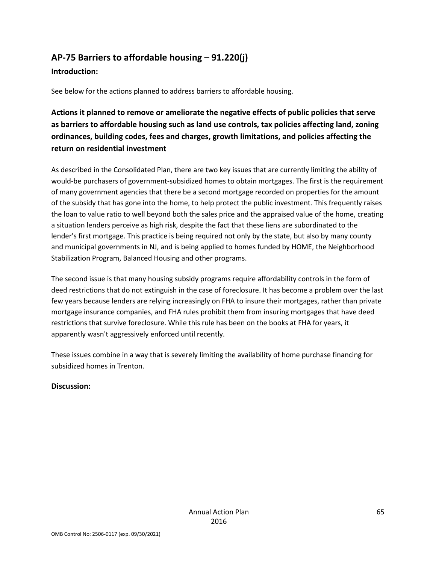## **AP-75 Barriers to affordable housing – 91.220(j)**

#### **Introduction:**

See below for the actions planned to address barriers to affordable housing.

**Actions it planned to remove or ameliorate the negative effects of public policies that serve as barriers to affordable housing such as land use controls, tax policies affecting land, zoning ordinances, building codes, fees and charges, growth limitations, and policies affecting the return on residential investment**

As described in the Consolidated Plan, there are two key issues that are currently limiting the ability of would-be purchasers of government-subsidized homes to obtain mortgages. The first is the requirement of many government agencies that there be a second mortgage recorded on properties for the amount of the subsidy that has gone into the home, to help protect the public investment. This frequently raises the loan to value ratio to well beyond both the sales price and the appraised value of the home, creating a situation lenders perceive as high risk, despite the fact that these liens are subordinated to the lender's first mortgage. This practice is being required not only by the state, but also by many county and municipal governments in NJ, and is being applied to homes funded by HOME, the Neighborhood Stabilization Program, Balanced Housing and other programs.

The second issue is that many housing subsidy programs require affordability controls in the form of deed restrictions that do not extinguish in the case of foreclosure. It has become a problem over the last few years because lenders are relying increasingly on FHA to insure their mortgages, rather than private mortgage insurance companies, and FHA rules prohibit them from insuring mortgages that have deed restrictions that survive foreclosure. While this rule has been on the books at FHA for years, it apparently wasn't aggressively enforced until recently.

These issues combine in a way that is severely limiting the availability of home purchase financing for subsidized homes in Trenton.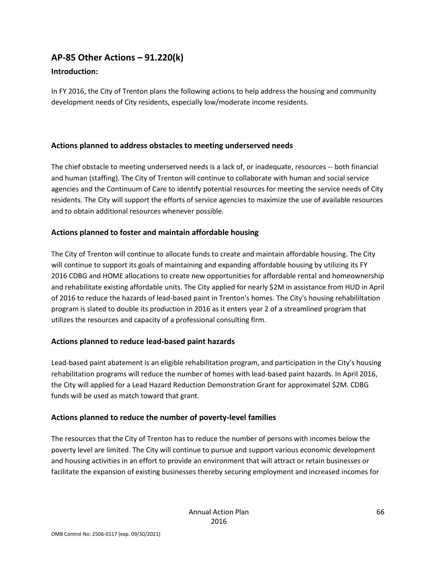## **AP-85 Other Actions – 91.220(k)**

#### **Introduction:**

In FY 2016, the City of Trenton plans the following actions to help address the housing and community development needs of City residents, especially low/moderate income residents.

#### **Actions planned to address obstacles to meeting underserved needs**

The chief obstacle to meeting underserved needs is a lack of, or inadequate, resources -- both financial and human (staffing). The City of Trenton will continue to collaborate with human and social service agencies and the Continuum of Care to identify potential resources for meeting the service needs of City residents. The City will support the efforts of service agencies to maximize the use of available resources and to obtain additional resources whenever possible.

### **Actions planned to foster and maintain affordable housing**

The City of Trenton will continue to allocate funds to create and maintain affordable housing. The City will continue to support its goals of maintaining and expanding affordable housing by utilizing its FY 2016 CDBG and HOME allocations to create new opportunities for affordable rental and homeownership and rehabilitate existing affordable units. The City applied for nearly \$2M in assistance from HUD in April of 2016 to reduce the hazards of lead-based paint in Trenton's homes. The City's housing rehabililtation program is slated to double its production in 2016 as it enters year 2 of a streamlined program that utilizes the resources and capacity of a professional consulting firm.

#### **Actions planned to reduce lead-based paint hazards**

Lead-based paint abatement is an eligible rehabilitation program, and participation in the City's housing rehabilitation programs will reduce the number of homes with lead-based paint hazards. In April 2016, the City will applied for a Lead Hazard Reduction Demonstration Grant for approximatel \$2M. CDBG funds will be used as match toward that grant.

### **Actions planned to reduce the number of poverty-level families**

The resources that the City of Trenton has to reduce the number of persons with incomes below the poverty level are limited. The City will continue to pursue and support various economic development and housing activities in an effort to provide an environment that will attract or retain businesses or facilitate the expansion of existing businesses thereby securing employment and increased incomes for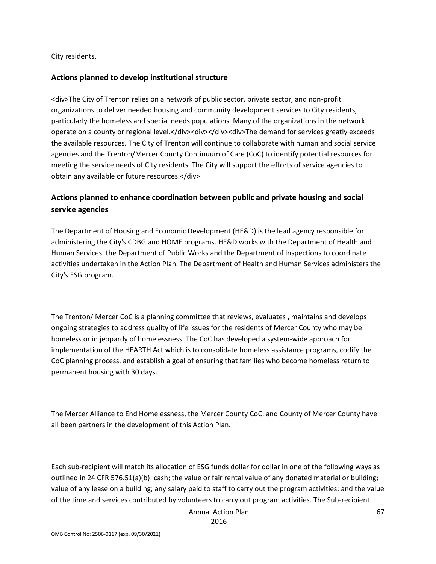City residents.

#### **Actions planned to develop institutional structure**

<div>The City of Trenton relies on a network of public sector, private sector, and non-profit organizations to deliver needed housing and community development services to City residents, particularly the homeless and special needs populations. Many of the organizations in the network operate on a county or regional level.</div><div><div><div>The demand for services greatly exceeds the available resources. The City of Trenton will continue to collaborate with human and social service agencies and the Trenton/Mercer County Continuum of Care (CoC) to identify potential resources for meeting the service needs of City residents. The City will support the efforts of service agencies to obtain any available or future resources.</div>

### **Actions planned to enhance coordination between public and private housing and social service agencies**

The Department of Housing and Economic Development (HE&D) is the lead agency responsible for administering the City's CDBG and HOME programs. HE&D works with the Department of Health and Human Services, the Department of Public Works and the Department of Inspections to coordinate activities undertaken in the Action Plan. The Department of Health and Human Services administers the City's ESG program.

The Trenton/ Mercer CoC is a planning committee that reviews, evaluates , maintains and develops ongoing strategies to address quality of life issues for the residents of Mercer County who may be homeless or in jeopardy of homelessness. The CoC has developed a system-wide approach for implementation of the HEARTH Act which is to consolidate homeless assistance programs, codify the CoC planning process, and establish a goal of ensuring that families who become homeless return to permanent housing with 30 days.

The Mercer Alliance to End Homelessness, the Mercer County CoC, and County of Mercer County have all been partners in the development of this Action Plan.

Each sub-recipient will match its allocation of ESG funds dollar for dollar in one of the following ways as outlined in 24 CFR 576.51(a)(b): cash; the value or fair rental value of any donated material or building; value of any lease on a building; any salary paid to staff to carry out the program activities; and the value of the time and services contributed by volunteers to carry out program activities. The Sub-recipient

Annual Action Plan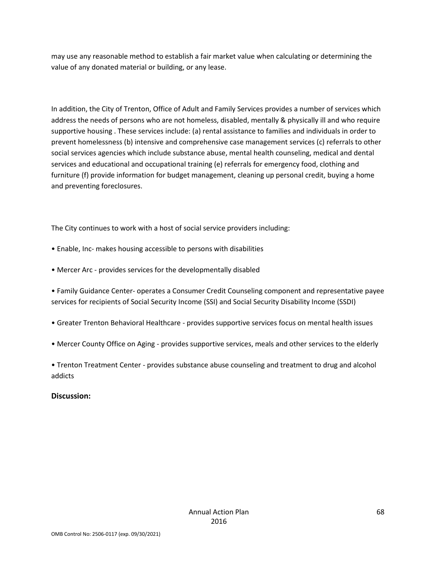may use any reasonable method to establish a fair market value when calculating or determining the value of any donated material or building, or any lease.

In addition, the City of Trenton, Office of Adult and Family Services provides a number of services which address the needs of persons who are not homeless, disabled, mentally & physically ill and who require supportive housing . These services include: (a) rental assistance to families and individuals in order to prevent homelessness (b) intensive and comprehensive case management services (c) referrals to other social services agencies which include substance abuse, mental health counseling, medical and dental services and educational and occupational training (e) referrals for emergency food, clothing and furniture (f) provide information for budget management, cleaning up personal credit, buying a home and preventing foreclosures.

The City continues to work with a host of social service providers including:

- Enable, Inc- makes housing accessible to persons with disabilities
- Mercer Arc provides services for the developmentally disabled

• Family Guidance Center- operates a Consumer Credit Counseling component and representative payee services for recipients of Social Security Income (SSI) and Social Security Disability Income (SSDI)

- Greater Trenton Behavioral Healthcare provides supportive services focus on mental health issues
- Mercer County Office on Aging provides supportive services, meals and other services to the elderly
- Trenton Treatment Center provides substance abuse counseling and treatment to drug and alcohol addicts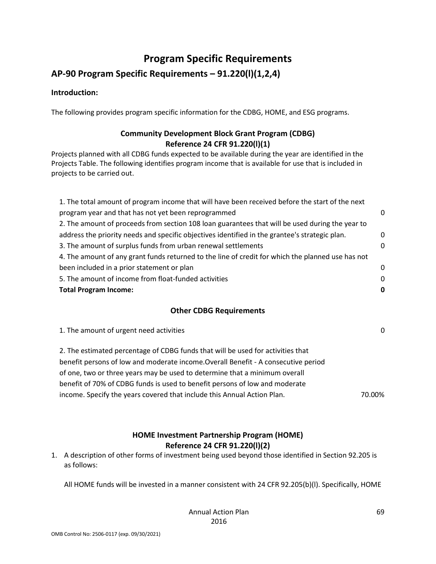# **Program Specific Requirements**

## **AP-90 Program Specific Requirements – 91.220(l)(1,2,4)**

#### **Introduction:**

The following provides program specific information for the CDBG, HOME, and ESG programs.

### **Community Development Block Grant Program (CDBG) Reference 24 CFR 91.220(l)(1)**

Projects planned with all CDBG funds expected to be available during the year are identified in the Projects Table. The following identifies program income that is available for use that is included in projects to be carried out.

| 1. The total amount of program income that will have been received before the start of the next   |          |
|---------------------------------------------------------------------------------------------------|----------|
| program year and that has not yet been reprogrammed                                               | 0        |
| 2. The amount of proceeds from section 108 loan guarantees that will be used during the year to   |          |
| address the priority needs and specific objectives identified in the grantee's strategic plan.    | 0        |
| 3. The amount of surplus funds from urban renewal settlements                                     | $\Omega$ |
| 4. The amount of any grant funds returned to the line of credit for which the planned use has not |          |
| been included in a prior statement or plan                                                        | 0        |
| 5. The amount of income from float-funded activities                                              | 0        |
| <b>Total Program Income:</b>                                                                      | 0        |
|                                                                                                   |          |

#### **Other CDBG Requirements**

1. The amount of urgent need activities 0

2. The estimated percentage of CDBG funds that will be used for activities that benefit persons of low and moderate income.Overall Benefit - A consecutive period of one, two or three years may be used to determine that a minimum overall benefit of 70% of CDBG funds is used to benefit persons of low and moderate income. Specify the years covered that include this Annual Action Plan. 70.00%

#### **HOME Investment Partnership Program (HOME) Reference 24 CFR 91.220(l)(2)**

1. A description of other forms of investment being used beyond those identified in Section 92.205 is as follows:

All HOME funds will be invested in a manner consistent with 24 CFR 92.205(b)(l). Specifically, HOME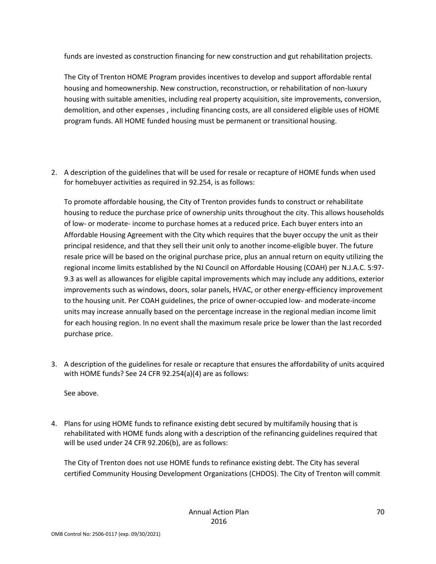funds are invested as construction financing for new construction and gut rehabilitation projects.

The City of Trenton HOME Program provides incentives to develop and support affordable rental housing and homeownership. New construction, reconstruction, or rehabilitation of non-luxury housing with suitable amenities, including real property acquisition, site improvements, conversion, demolition, and other expenses , including financing costs, are all considered eligible uses of HOME program funds. All HOME funded housing must be permanent or transitional housing.

2. A description of the guidelines that will be used for resale or recapture of HOME funds when used for homebuyer activities as required in 92.254, is as follows:

To promote affordable housing, the City of Trenton provides funds to construct or rehabilitate housing to reduce the purchase price of ownership units throughout the city. This allows households of low- or moderate- income to purchase homes at a reduced price. Each buyer enters into an Affordable Housing Agreement with the City which requires that the buyer occupy the unit as their principal residence, and that they sell their unit only to another income-eligible buyer. The future resale price will be based on the original purchase price, plus an annual return on equity utilizing the regional income limits established by the NJ Council on Affordable Housing (COAH) per N.J.A.C. 5:97- 9.3 as well as allowances for eligible capital improvements which may include any additions, exterior improvements such as windows, doors, solar panels, HVAC, or other energy-efficiency improvement to the housing unit. Per COAH guidelines, the price of owner-occupied low- and moderate-income units may increase annually based on the percentage increase in the regional median income limit for each housing region. In no event shall the maximum resale price be lower than the last recorded purchase price.

3. A description of the guidelines for resale or recapture that ensures the affordability of units acquired with HOME funds? See 24 CFR 92.254(a)(4) are as follows:

See above.

4. Plans for using HOME funds to refinance existing debt secured by multifamily housing that is rehabilitated with HOME funds along with a description of the refinancing guidelines required that will be used under 24 CFR 92.206(b), are as follows:

The City of Trenton does not use HOME funds to refinance existing debt. The City has several certified Community Housing Development Organizations (CHDOS). The City of Trenton will commit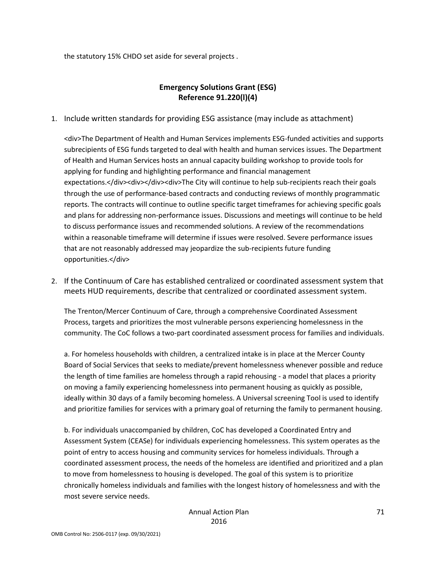the statutory 15% CHDO set aside for several projects .

#### **Emergency Solutions Grant (ESG) Reference 91.220(l)(4)**

1. Include written standards for providing ESG assistance (may include as attachment)

<div>The Department of Health and Human Services implements ESG-funded activities and supports subrecipients of ESG funds targeted to deal with health and human services issues. The Department of Health and Human Services hosts an annual capacity building workshop to provide tools for applying for funding and highlighting performance and financial management expectations.</div><div></div><div>The City will continue to help sub-recipients reach their goals through the use of performance-based contracts and conducting reviews of monthly programmatic reports. The contracts will continue to outline specific target timeframes for achieving specific goals and plans for addressing non-performance issues. Discussions and meetings will continue to be held to discuss performance issues and recommended solutions. A review of the recommendations within a reasonable timeframe will determine if issues were resolved. Severe performance issues that are not reasonably addressed may jeopardize the sub-recipients future funding opportunities.</div>

2. If the Continuum of Care has established centralized or coordinated assessment system that meets HUD requirements, describe that centralized or coordinated assessment system.

The Trenton/Mercer Continuum of Care, through a comprehensive Coordinated Assessment Process, targets and prioritizes the most vulnerable persons experiencing homelessness in the community. The CoC follows a two-part coordinated assessment process for families and individuals.

a. For homeless households with children, a centralized intake is in place at the Mercer County Board of Social Services that seeks to mediate/prevent homelessness whenever possible and reduce the length of time families are homeless through a rapid rehousing - a model that places a priority on moving a family experiencing homelessness into permanent housing as quickly as possible, ideally within 30 days of a family becoming homeless. A Universal screening Tool is used to identify and prioritize families for services with a primary goal of returning the family to permanent housing.

b. For individuals unaccompanied by children, CoC has developed a Coordinated Entry and Assessment System (CEASe) for individuals experiencing homelessness. This system operates as the point of entry to access housing and community services for homeless individuals. Through a coordinated assessment process, the needs of the homeless are identified and prioritized and a plan to move from homelessness to housing is developed. The goal of this system is to prioritize chronically homeless individuals and families with the longest history of homelessness and with the most severe service needs.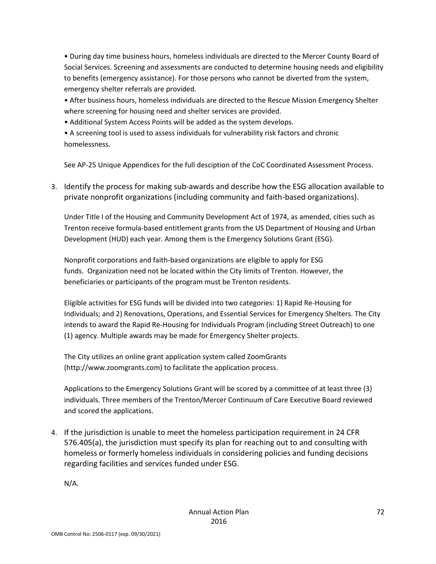• During day time business hours, homeless individuals are directed to the Mercer County Board of Social Services. Screening and assessments are conducted to determine housing needs and eligibility to benefits (emergency assistance). For those persons who cannot be diverted from the system, emergency shelter referrals are provided.

• After business hours, homeless individuals are directed to the Rescue Mission Emergency Shelter where screening for housing need and shelter services are provided.

• Additional System Access Points will be added as the system develops.

• A screening tool is used to assess individuals for vulnerability risk factors and chronic homelessness.

See AP-25 Unique Appendices for the full desciption of the CoC Coordinated Assessment Process.

3. Identify the process for making sub-awards and describe how the ESG allocation available to private nonprofit organizations (including community and faith-based organizations).

Under Title I of the Housing and Community Development Act of 1974, as amended, cities such as Trenton receive formula-based entitlement grants from the US Department of Housing and Urban Development (HUD) each year. Among them is the Emergency Solutions Grant (ESG).

Nonprofit corporations and faith-based organizations are eligible to apply for ESG funds. Organization need not be located within the City limits of Trenton. However, the beneficiaries or participants of the program must be Trenton residents.

Eligible activities for ESG funds will be divided into two categories: 1) Rapid Re-Housing for Individuals; and 2) Renovations, Operations, and Essential Services for Emergency Shelters. The City intends to award the Rapid Re-Housing for Individuals Program (including Street Outreach) to one (1) agency. Multiple awards may be made for Emergency Shelter projects.

The City utilizes an online grant application system called ZoomGrants (http://www.zoomgrants.com) to facilitate the application process.

Applications to the Emergency Solutions Grant will be scored by a committee of at least three (3) individuals. Three members of the Trenton/Mercer Continuum of Care Executive Board reviewed and scored the applications.

4. If the jurisdiction is unable to meet the homeless participation requirement in 24 CFR 576.405(a), the jurisdiction must specify its plan for reaching out to and consulting with homeless or formerly homeless individuals in considering policies and funding decisions regarding facilities and services funded under ESG.

N/A.